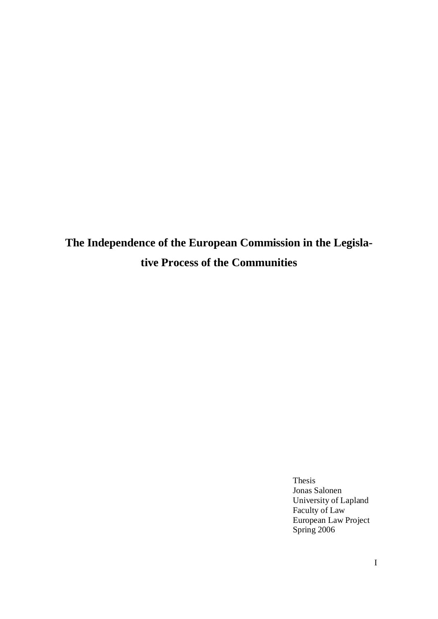**The Independence of the European Commission in the Legislative Process of the Communities**

> Thesis Jonas Salonen University of Lapland Faculty of Law European Law Project Spring 2006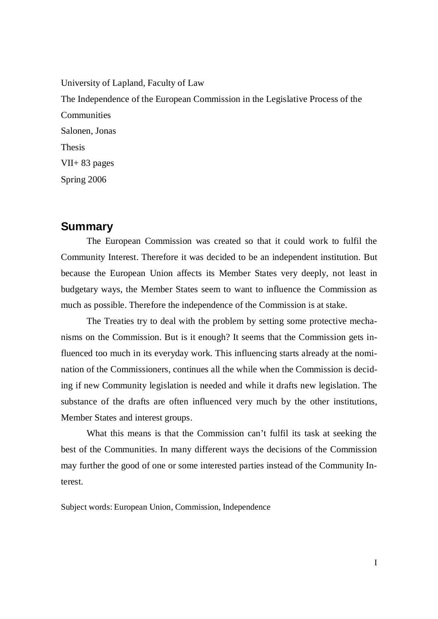University of Lapland, Faculty of Law The Independence of the European Commission in the Legislative Process of the **Communities** Salonen, Jonas Thesis VII+ 83 pages Spring 2006

# **Summary**

The European Commission was created so that it could work to fulfil the Community Interest. Therefore it was decided to be an independent institution. But because the European Union affects its Member States very deeply, not least in budgetary ways, the Member States seem to want to influence the Commission as much as possible. Therefore the independence of the Commission is at stake.

The Treaties try to deal with the problem by setting some protective mechanisms on the Commission. But is it enough? It seems that the Commission gets influenced too much in its everyday work. This influencing starts already at the nomination of the Commissioners, continues all the while when the Commission is deciding if new Community legislation is needed and while it drafts new legislation. The substance of the drafts are often influenced very much by the other institutions, Member States and interest groups.

What this means is that the Commission can't fulfil its task at seeking the best of the Communities. In many different ways the decisions of the Commission may further the good of one or some interested parties instead of the Community Interest.

Subject words: European Union, Commission, Independence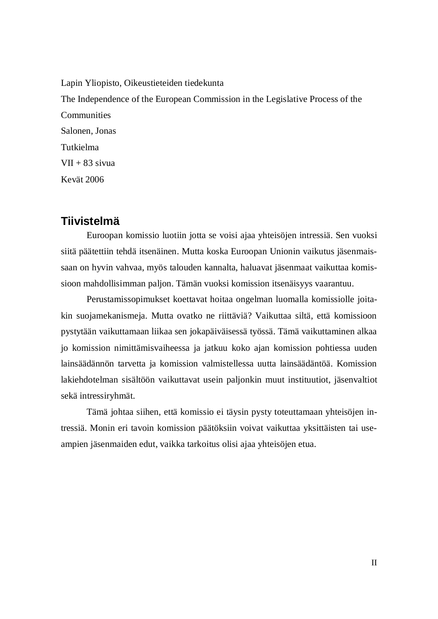Lapin Yliopisto, Oikeustieteiden tiedekunta The Independence of the European Commission in the Legislative Process of the **Communities** Salonen, Jonas Tutkielma  $VII + 83$  sivua Kevät 2006

# **Tiivistelmä**

Euroopan komissio luotiin jotta se voisi ajaa yhteisöjen intressiä. Sen vuoksi siitä päätettiin tehdä itsenäinen. Mutta koska Euroopan Unionin vaikutus jäsenmaissaan on hyvin vahvaa, myös talouden kannalta, haluavat jäsenmaat vaikuttaa komissioon mahdollisimman paljon. Tämän vuoksi komission itsenäisyys vaarantuu.

Perustamissopimukset koettavat hoitaa ongelman luomalla komissiolle joitakin suojamekanismeja. Mutta ovatko ne riittäviä? Vaikuttaa siltä, että komissioon pystytään vaikuttamaan liikaa sen jokapäiväisessä työssä. Tämä vaikuttaminen alkaa jo komission nimittämisvaiheessa ja jatkuu koko ajan komission pohtiessa uuden lainsäädännön tarvetta ja komission valmistellessa uutta lainsäädäntöä. Komission lakiehdotelman sisältöön vaikuttavat usein paljonkin muut instituutiot, jäsenvaltiot sekä intressiryhmät.

Tämä johtaa siihen, että komissio ei täysin pysty toteuttamaan yhteisöjen intressiä. Monin eri tavoin komission päätöksiin voivat vaikuttaa yksittäisten tai useampien jäsenmaiden edut, vaikka tarkoitus olisi ajaa yhteisöjen etua.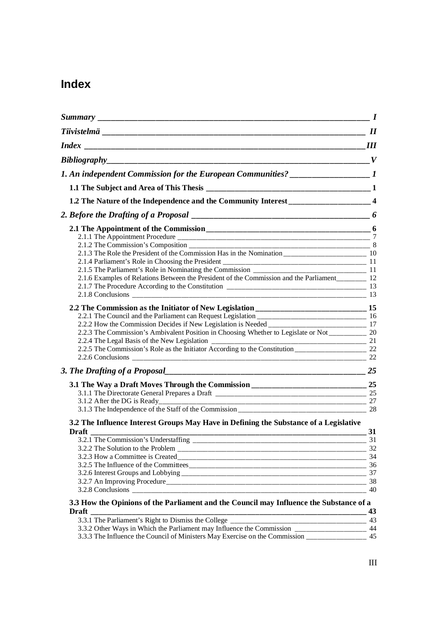# **Index**

|                                                                                                                                                                                                       | $\boldsymbol{\mathit{II}}$ |
|-------------------------------------------------------------------------------------------------------------------------------------------------------------------------------------------------------|----------------------------|
| $\overline{\phantom{a}}$ $III$                                                                                                                                                                        |                            |
| Bibliography_                                                                                                                                                                                         |                            |
| 1. An independent Commission for the European Communities? ___________________1                                                                                                                       |                            |
|                                                                                                                                                                                                       |                            |
| 1.2 The Nature of the Independence and the Community Interest ___________________4                                                                                                                    |                            |
|                                                                                                                                                                                                       |                            |
|                                                                                                                                                                                                       |                            |
|                                                                                                                                                                                                       |                            |
|                                                                                                                                                                                                       |                            |
|                                                                                                                                                                                                       |                            |
|                                                                                                                                                                                                       |                            |
|                                                                                                                                                                                                       |                            |
| 2.1.6 Examples of Relations Between the President of the Commission and the Parliament _________ 12                                                                                                   |                            |
|                                                                                                                                                                                                       |                            |
| 2.1.8 Conclusions 2.1.8 Conclusions 2.1.8 Conclusions 2.1.8 Conclusions 2.1.8 Conclusions 2.1.8 Conclusions 2.1                                                                                       |                            |
|                                                                                                                                                                                                       |                            |
|                                                                                                                                                                                                       |                            |
|                                                                                                                                                                                                       |                            |
| 2.2.3 The Commission's Ambivalent Position in Choosing Whether to Legislate or Not _____________ 20                                                                                                   |                            |
|                                                                                                                                                                                                       |                            |
|                                                                                                                                                                                                       |                            |
|                                                                                                                                                                                                       |                            |
|                                                                                                                                                                                                       |                            |
| 3.1 The Way a Draft Moves Through the Commission ________________________________ 25                                                                                                                  |                            |
|                                                                                                                                                                                                       |                            |
|                                                                                                                                                                                                       |                            |
|                                                                                                                                                                                                       |                            |
| 3.2 The Influence Interest Groups May Have in Defining the Substance of a Legislative                                                                                                                 |                            |
| <b>Draft</b>                                                                                                                                                                                          | 31                         |
| 3.2.1 The Commission's Understaffing                                                                                                                                                                  | 31                         |
|                                                                                                                                                                                                       | 32                         |
|                                                                                                                                                                                                       | 34                         |
|                                                                                                                                                                                                       | 36                         |
|                                                                                                                                                                                                       |                            |
|                                                                                                                                                                                                       |                            |
|                                                                                                                                                                                                       | 40                         |
| 3.3 How the Opinions of the Parliament and the Council may Influence the Substance of a                                                                                                               |                            |
| <b>Draft</b><br><u> 1980 - Johann John Stone, mars andrew Maria (b. 1980)</u>                                                                                                                         | 43                         |
|                                                                                                                                                                                                       |                            |
| 3.3.2 Other Ways in Which the Parliament may Influence the Commission ______________________ 44<br>3.3.3 The Influence the Council of Ministers May Exercise on the Commission ___________________ 45 |                            |
|                                                                                                                                                                                                       |                            |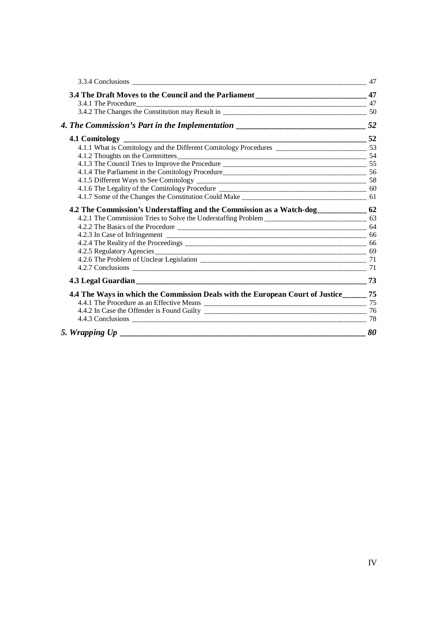| 3.4 The Draft Moves to the Council and the Parliament __________________________________47 |    |
|--------------------------------------------------------------------------------------------|----|
|                                                                                            |    |
|                                                                                            |    |
|                                                                                            |    |
| $\frac{1}{2}$ 52                                                                           |    |
| 4.1.1 What is Comitology and the Different Comitology Procedures                           |    |
|                                                                                            |    |
|                                                                                            |    |
|                                                                                            |    |
|                                                                                            |    |
|                                                                                            |    |
|                                                                                            |    |
| 4.2 The Commission's Understaffing and the Commission as a Watch-dog____________ 62        |    |
|                                                                                            |    |
|                                                                                            |    |
|                                                                                            |    |
|                                                                                            |    |
|                                                                                            |    |
|                                                                                            |    |
|                                                                                            |    |
|                                                                                            | 73 |
| 4.4 The Ways in which the Commission Deals with the European Court of Justice______ 75     |    |
|                                                                                            |    |
|                                                                                            |    |
|                                                                                            |    |
|                                                                                            | 80 |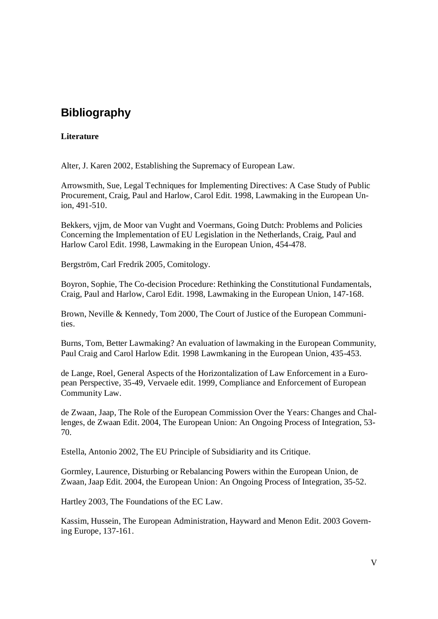# **Bibliography**

### **Literature**

Alter, J. Karen 2002, Establishing the Supremacy of European Law.

Arrowsmith, Sue, Legal Techniques for Implementing Directives: A Case Study of Public Procurement, Craig, Paul and Harlow, Carol Edit. 1998, Lawmaking in the European Union, 491-510.

Bekkers, vjjm, de Moor van Vught and Voermans, Going Dutch: Problems and Policies Concerning the Implementation of EU Legislation in the Netherlands, Craig, Paul and Harlow Carol Edit. 1998, Lawmaking in the European Union, 454-478.

Bergström, Carl Fredrik 2005, Comitology.

Boyron, Sophie, The Co-decision Procedure: Rethinking the Constitutional Fundamentals, Craig, Paul and Harlow, Carol Edit. 1998, Lawmaking in the European Union, 147-168.

Brown, Neville & Kennedy, Tom 2000, The Court of Justice of the European Communities.

Burns, Tom, Better Lawmaking? An evaluation of lawmaking in the European Community, Paul Craig and Carol Harlow Edit. 1998 Lawmkaning in the European Union, 435-453.

de Lange, Roel, General Aspects of the Horizontalization of Law Enforcement in a European Perspective, 35-49, Vervaele edit. 1999, Compliance and Enforcement of European Community Law.

de Zwaan, Jaap, The Role of the European Commission Over the Years: Changes and Challenges, de Zwaan Edit. 2004, The European Union: An Ongoing Process of Integration, 53- 70.

Estella, Antonio 2002, The EU Principle of Subsidiarity and its Critique.

Gormley, Laurence, Disturbing or Rebalancing Powers within the European Union, de Zwaan, Jaap Edit. 2004, the European Union: An Ongoing Process of Integration, 35-52.

Hartley 2003, The Foundations of the EC Law.

Kassim, Hussein, The European Administration, Hayward and Menon Edit. 2003 Governing Europe, 137-161.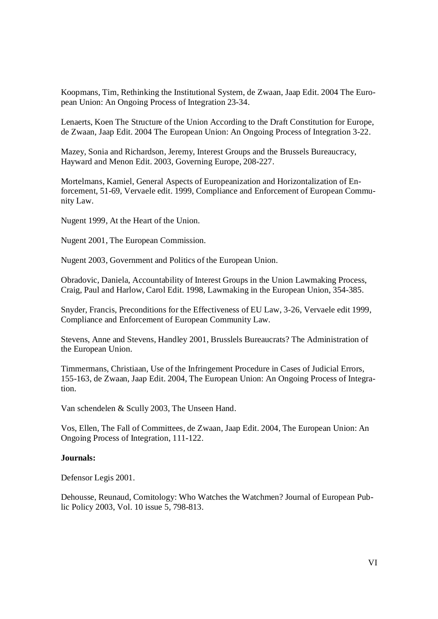Koopmans, Tim, Rethinking the Institutional System, de Zwaan, Jaap Edit. 2004 The European Union: An Ongoing Process of Integration 23-34.

Lenaerts, Koen The Structure of the Union According to the Draft Constitution for Europe, de Zwaan, Jaap Edit. 2004 The European Union: An Ongoing Process of Integration 3-22.

Mazey, Sonia and Richardson, Jeremy, Interest Groups and the Brussels Bureaucracy, Hayward and Menon Edit. 2003, Governing Europe, 208-227.

Mortelmans, Kamiel, General Aspects of Europeanization and Horizontalization of Enforcement, 51-69, Vervaele edit. 1999, Compliance and Enforcement of European Community Law.

Nugent 1999, At the Heart of the Union.

Nugent 2001, The European Commission.

Nugent 2003, Government and Politics of the European Union.

Obradovic, Daniela, Accountability of Interest Groups in the Union Lawmaking Process, Craig, Paul and Harlow, Carol Edit. 1998, Lawmaking in the European Union, 354-385.

Snyder, Francis, Preconditions for the Effectiveness of EU Law, 3-26, Vervaele edit 1999, Compliance and Enforcement of European Community Law.

Stevens, Anne and Stevens, Handley 2001, Brusslels Bureaucrats? The Administration of the European Union.

Timmermans, Christiaan, Use of the Infringement Procedure in Cases of Judicial Errors, 155-163, de Zwaan, Jaap Edit. 2004, The European Union: An Ongoing Process of Integration.

Van schendelen & Scully 2003, The Unseen Hand.

Vos, Ellen, The Fall of Committees, de Zwaan, Jaap Edit. 2004, The European Union: An Ongoing Process of Integration, 111-122.

#### **Journals:**

Defensor Legis 2001.

Dehousse, Reunaud, Comitology: Who Watches the Watchmen? Journal of European Public Policy 2003, Vol. 10 issue 5, 798-813.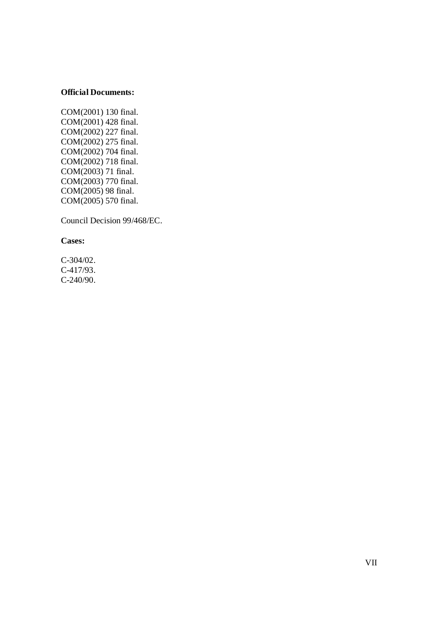### **Official Documents:**

COM(2001) 130 final. COM(2001) 428 final. COM(2002) 227 final. COM(2002) 275 final. COM(2002) 704 final. COM(2002) 718 final. COM(2003) 71 final. COM(2003) 770 final. COM(2005) 98 final. COM(2005) 570 final.

Council Decision 99/468/EC.

**Cases:**

C-304/02. C-417/93. C-240/90.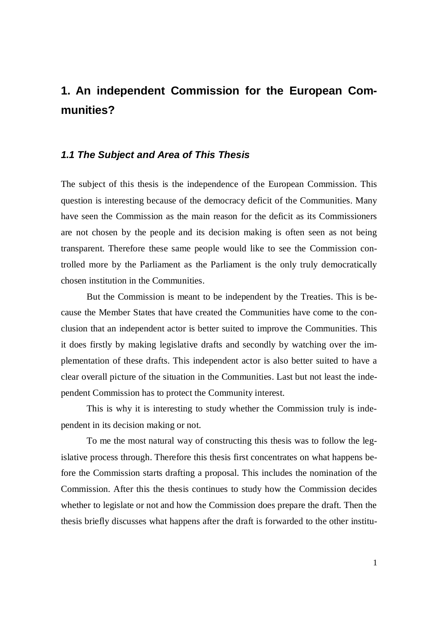# **1. An independent Commission for the European Communities?**

### *1.1 The Subject and Area of This Thesis*

The subject of this thesis is the independence of the European Commission. This question is interesting because of the democracy deficit of the Communities. Many have seen the Commission as the main reason for the deficit as its Commissioners are not chosen by the people and its decision making is often seen as not being transparent. Therefore these same people would like to see the Commission controlled more by the Parliament as the Parliament is the only truly democratically chosen institution in the Communities.

But the Commission is meant to be independent by the Treaties. This is because the Member States that have created the Communities have come to the conclusion that an independent actor is better suited to improve the Communities. This it does firstly by making legislative drafts and secondly by watching over the implementation of these drafts. This independent actor is also better suited to have a clear overall picture of the situation in the Communities. Last but not least the independent Commission has to protect the Community interest.

This is why it is interesting to study whether the Commission truly is independent in its decision making or not.

To me the most natural way of constructing this thesis was to follow the legislative process through. Therefore this thesis first concentrates on what happens before the Commission starts drafting a proposal. This includes the nomination of the Commission. After this the thesis continues to study how the Commission decides whether to legislate or not and how the Commission does prepare the draft. Then the thesis briefly discusses what happens after the draft is forwarded to the other institu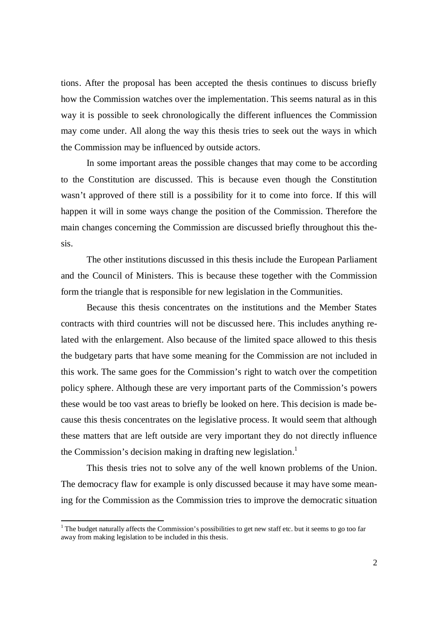tions. After the proposal has been accepted the thesis continues to discuss briefly how the Commission watches over the implementation. This seems natural as in this way it is possible to seek chronologically the different influences the Commission may come under. All along the way this thesis tries to seek out the ways in which the Commission may be influenced by outside actors.

In some important areas the possible changes that may come to be according to the Constitution are discussed. This is because even though the Constitution wasn't approved of there still is a possibility for it to come into force. If this will happen it will in some ways change the position of the Commission. Therefore the main changes concerning the Commission are discussed briefly throughout this thesis.

The other institutions discussed in this thesis include the European Parliament and the Council of Ministers. This is because these together with the Commission form the triangle that is responsible for new legislation in the Communities.

Because this thesis concentrates on the institutions and the Member States contracts with third countries will not be discussed here. This includes anything related with the enlargement. Also because of the limited space allowed to this thesis the budgetary parts that have some meaning for the Commission are not included in this work. The same goes for the Commission's right to watch over the competition policy sphere. Although these are very important parts of the Commission's powers these would be too vast areas to briefly be looked on here. This decision is made because this thesis concentrates on the legislative process. It would seem that although these matters that are left outside are very important they do not directly influence the Commission's decision making in drafting new legislation.<sup>1</sup>

This thesis tries not to solve any of the well known problems of the Union. The democracy flaw for example is only discussed because it may have some meaning for the Commission as the Commission tries to improve the democratic situation

<sup>&</sup>lt;sup>1</sup> The budget naturally affects the Commission's possibilities to get new staff etc. but it seems to go too far away from making legislation to be included in this thesis.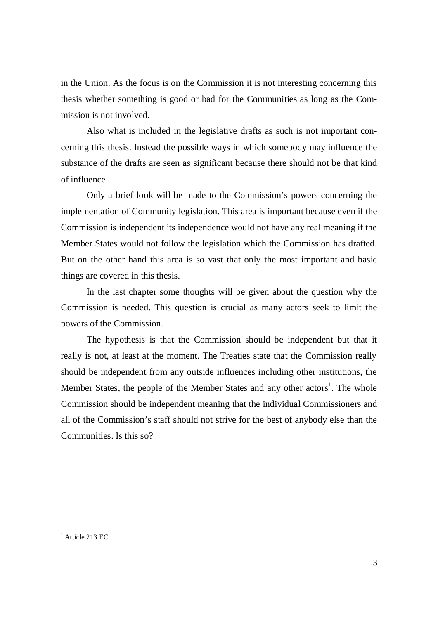in the Union. As the focus is on the Commission it is not interesting concerning this thesis whether something is good or bad for the Communities as long as the Commission is not involved.

Also what is included in the legislative drafts as such is not important concerning this thesis. Instead the possible ways in which somebody may influence the substance of the drafts are seen as significant because there should not be that kind of influence.

Only a brief look will be made to the Commission's powers concerning the implementation of Community legislation. This area is important because even if the Commission is independent its independence would not have any real meaning if the Member States would not follow the legislation which the Commission has drafted. But on the other hand this area is so vast that only the most important and basic things are covered in this thesis.

In the last chapter some thoughts will be given about the question why the Commission is needed. This question is crucial as many actors seek to limit the powers of the Commission.

The hypothesis is that the Commission should be independent but that it really is not, at least at the moment. The Treaties state that the Commission really should be independent from any outside influences including other institutions, the Member States, the people of the Member States and any other actors<sup>1</sup>. The whole Commission should be independent meaning that the individual Commissioners and all of the Commission's staff should not strive for the best of anybody else than the Communities. Is this so?

 $<sup>1</sup>$  Article 213 EC.</sup>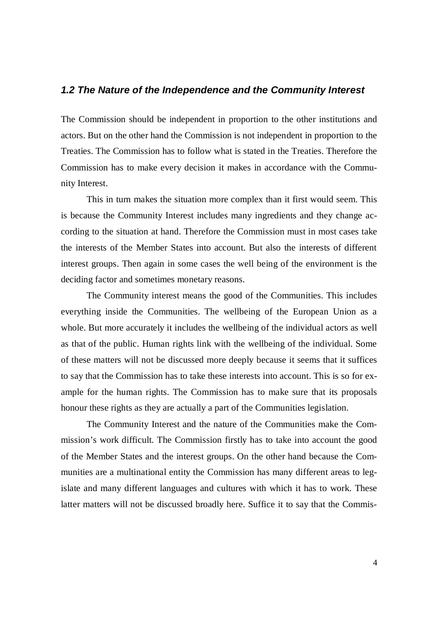### *1.2 The Nature of the Independence and the Community Interest*

The Commission should be independent in proportion to the other institutions and actors. But on the other hand the Commission is not independent in proportion to the Treaties. The Commission has to follow what is stated in the Treaties. Therefore the Commission has to make every decision it makes in accordance with the Community Interest.

This in turn makes the situation more complex than it first would seem. This is because the Community Interest includes many ingredients and they change according to the situation at hand. Therefore the Commission must in most cases take the interests of the Member States into account. But also the interests of different interest groups. Then again in some cases the well being of the environment is the deciding factor and sometimes monetary reasons.

The Community interest means the good of the Communities. This includes everything inside the Communities. The wellbeing of the European Union as a whole. But more accurately it includes the wellbeing of the individual actors as well as that of the public. Human rights link with the wellbeing of the individual. Some of these matters will not be discussed more deeply because it seems that it suffices to say that the Commission has to take these interests into account. This is so for example for the human rights. The Commission has to make sure that its proposals honour these rights as they are actually a part of the Communities legislation.

The Community Interest and the nature of the Communities make the Commission's work difficult. The Commission firstly has to take into account the good of the Member States and the interest groups. On the other hand because the Communities are a multinational entity the Commission has many different areas to legislate and many different languages and cultures with which it has to work. These latter matters will not be discussed broadly here. Suffice it to say that the Commis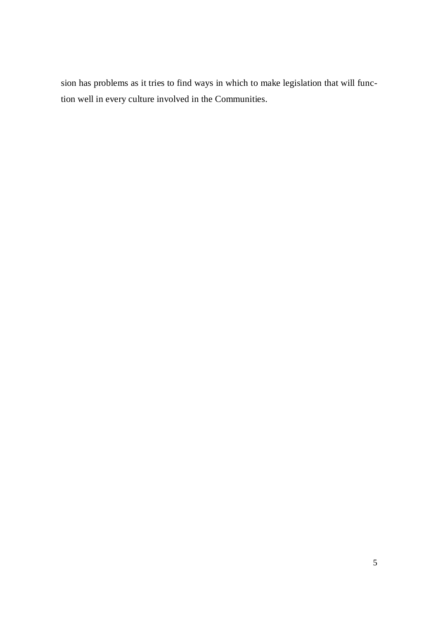sion has problems as it tries to find ways in which to make legislation that will function well in every culture involved in the Communities.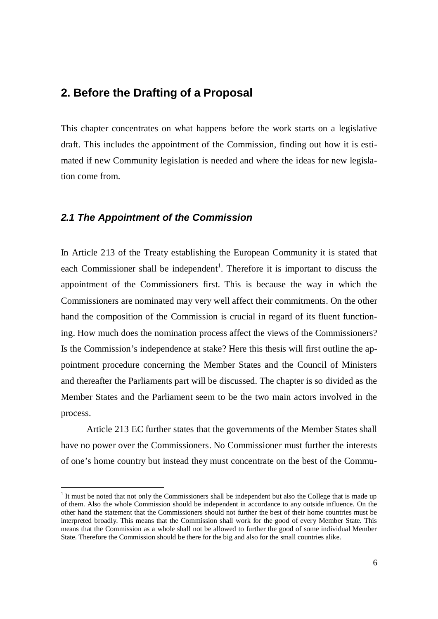# **2. Before the Drafting of a Proposal**

This chapter concentrates on what happens before the work starts on a legislative draft. This includes the appointment of the Commission, finding out how it is estimated if new Community legislation is needed and where the ideas for new legislation come from.

## *2.1 The Appointment of the Commission*

In Article 213 of the Treaty establishing the European Community it is stated that each Commissioner shall be independent<sup>1</sup>. Therefore it is important to discuss the appointment of the Commissioners first. This is because the way in which the Commissioners are nominated may very well affect their commitments. On the other hand the composition of the Commission is crucial in regard of its fluent functioning. How much does the nomination process affect the views of the Commissioners? Is the Commission's independence at stake? Here this thesis will first outline the appointment procedure concerning the Member States and the Council of Ministers and thereafter the Parliaments part will be discussed. The chapter is so divided as the Member States and the Parliament seem to be the two main actors involved in the process.

Article 213 EC further states that the governments of the Member States shall have no power over the Commissioners. No Commissioner must further the interests of one's home country but instead they must concentrate on the best of the Commu-

<sup>&</sup>lt;sup>1</sup> It must be noted that not only the Commissioners shall be independent but also the College that is made up of them. Also the whole Commission should be independent in accordance to any outside influence. On the other hand the statement that the Commissioners should not further the best of their home countries must be interpreted broadly. This means that the Commission shall work for the good of every Member State. This means that the Commission as a whole shall not be allowed to further the good of some individual Member State. Therefore the Commission should be there for the big and also for the small countries alike.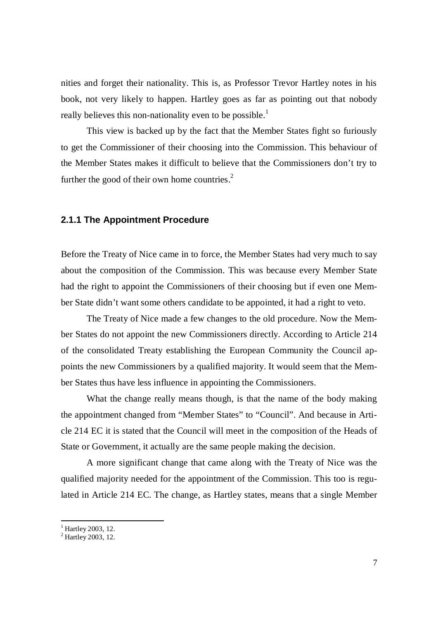nities and forget their nationality. This is, as Professor Trevor Hartley notes in his book, not very likely to happen. Hartley goes as far as pointing out that nobody really believes this non-nationality even to be possible.<sup>1</sup>

This view is backed up by the fact that the Member States fight so furiously to get the Commissioner of their choosing into the Commission. This behaviour of the Member States makes it difficult to believe that the Commissioners don't try to further the good of their own home countries. $<sup>2</sup>$ </sup>

### **2.1.1 The Appointment Procedure**

Before the Treaty of Nice came in to force, the Member States had very much to say about the composition of the Commission. This was because every Member State had the right to appoint the Commissioners of their choosing but if even one Member State didn't want some others candidate to be appointed, it had a right to veto.

The Treaty of Nice made a few changes to the old procedure. Now the Member States do not appoint the new Commissioners directly. According to Article 214 of the consolidated Treaty establishing the European Community the Council appoints the new Commissioners by a qualified majority. It would seem that the Member States thus have less influence in appointing the Commissioners.

What the change really means though, is that the name of the body making the appointment changed from "Member States" to "Council". And because in Article 214 EC it is stated that the Council will meet in the composition of the Heads of State or Government, it actually are the same people making the decision.

A more significant change that came along with the Treaty of Nice was the qualified majority needed for the appointment of the Commission. This too is regulated in Article 214 EC. The change, as Hartley states, means that a single Member

<sup>&</sup>lt;sup>1</sup> Hartley 2003, 12.<br><sup>2</sup> Hartley 2003, 12.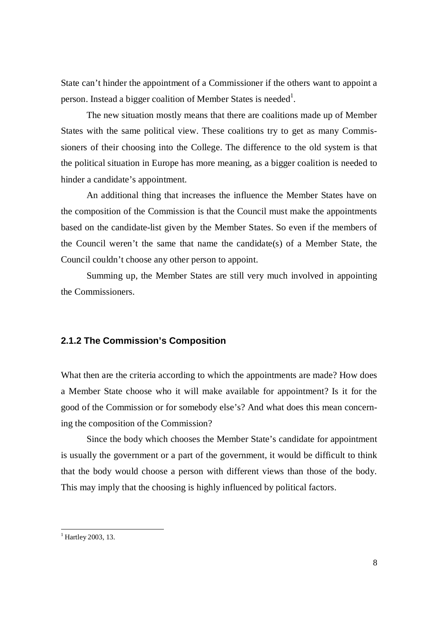State can't hinder the appointment of a Commissioner if the others want to appoint a person. Instead a bigger coalition of Member States is needed<sup>1</sup>.

The new situation mostly means that there are coalitions made up of Member States with the same political view. These coalitions try to get as many Commissioners of their choosing into the College. The difference to the old system is that the political situation in Europe has more meaning, as a bigger coalition is needed to hinder a candidate's appointment.

An additional thing that increases the influence the Member States have on the composition of the Commission is that the Council must make the appointments based on the candidate-list given by the Member States. So even if the members of the Council weren't the same that name the candidate(s) of a Member State, the Council couldn't choose any other person to appoint.

Summing up, the Member States are still very much involved in appointing the Commissioners.

### **2.1.2 The Commission's Composition**

What then are the criteria according to which the appointments are made? How does a Member State choose who it will make available for appointment? Is it for the good of the Commission or for somebody else's? And what does this mean concerning the composition of the Commission?

Since the body which chooses the Member State's candidate for appointment is usually the government or a part of the government, it would be difficult to think that the body would choose a person with different views than those of the body. This may imply that the choosing is highly influenced by political factors.

<sup>&</sup>lt;sup>1</sup> Hartley 2003, 13.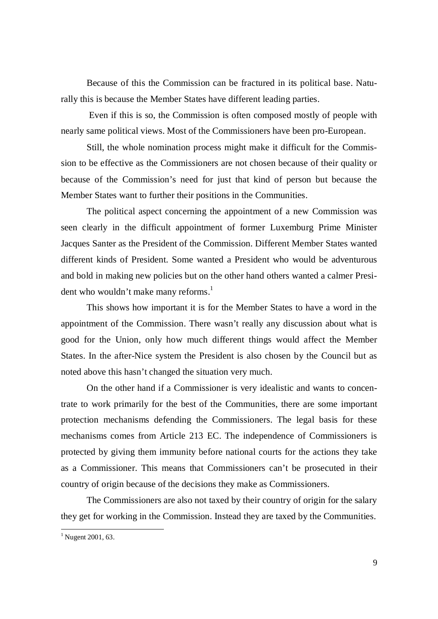Because of this the Commission can be fractured in its political base. Naturally this is because the Member States have different leading parties.

 Even if this is so, the Commission is often composed mostly of people with nearly same political views. Most of the Commissioners have been pro-European.

Still, the whole nomination process might make it difficult for the Commission to be effective as the Commissioners are not chosen because of their quality or because of the Commission's need for just that kind of person but because the Member States want to further their positions in the Communities.

The political aspect concerning the appointment of a new Commission was seen clearly in the difficult appointment of former Luxemburg Prime Minister Jacques Santer as the President of the Commission. Different Member States wanted different kinds of President. Some wanted a President who would be adventurous and bold in making new policies but on the other hand others wanted a calmer President who wouldn't make many reforms.<sup>1</sup>

This shows how important it is for the Member States to have a word in the appointment of the Commission. There wasn't really any discussion about what is good for the Union, only how much different things would affect the Member States. In the after-Nice system the President is also chosen by the Council but as noted above this hasn't changed the situation very much.

On the other hand if a Commissioner is very idealistic and wants to concentrate to work primarily for the best of the Communities, there are some important protection mechanisms defending the Commissioners. The legal basis for these mechanisms comes from Article 213 EC. The independence of Commissioners is protected by giving them immunity before national courts for the actions they take as a Commissioner. This means that Commissioners can't be prosecuted in their country of origin because of the decisions they make as Commissioners.

The Commissioners are also not taxed by their country of origin for the salary they get for working in the Commission. Instead they are taxed by the Communities.

 $1$  Nugent 2001, 63.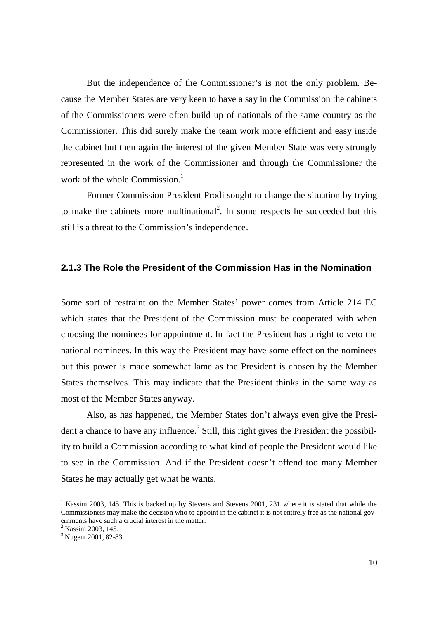But the independence of the Commissioner's is not the only problem. Because the Member States are very keen to have a say in the Commission the cabinets of the Commissioners were often build up of nationals of the same country as the Commissioner. This did surely make the team work more efficient and easy inside the cabinet but then again the interest of the given Member State was very strongly represented in the work of the Commissioner and through the Commissioner the work of the whole Commission.<sup>1</sup>

Former Commission President Prodi sought to change the situation by trying to make the cabinets more multinational<sup>2</sup>. In some respects he succeeded but this still is a threat to the Commission's independence.

### **2.1.3 The Role the President of the Commission Has in the Nomination**

Some sort of restraint on the Member States' power comes from Article 214 EC which states that the President of the Commission must be cooperated with when choosing the nominees for appointment. In fact the President has a right to veto the national nominees. In this way the President may have some effect on the nominees but this power is made somewhat lame as the President is chosen by the Member States themselves. This may indicate that the President thinks in the same way as most of the Member States anyway.

Also, as has happened, the Member States don't always even give the President a chance to have any influence.<sup>3</sup> Still, this right gives the President the possibility to build a Commission according to what kind of people the President would like to see in the Commission. And if the President doesn't offend too many Member States he may actually get what he wants.

<sup>&</sup>lt;sup>1</sup> Kassim 2003, 145. This is backed up by Stevens and Stevens 2001, 231 where it is stated that while the Commissioners may make the decision who to appoint in the cabinet it is not entirely free as the national governments have such a crucial interest in the matter.

<sup>&</sup>lt;sup>2</sup> Kassim 2003, 145.

<sup>&</sup>lt;sup>3</sup> Nugent 2001, 82-83.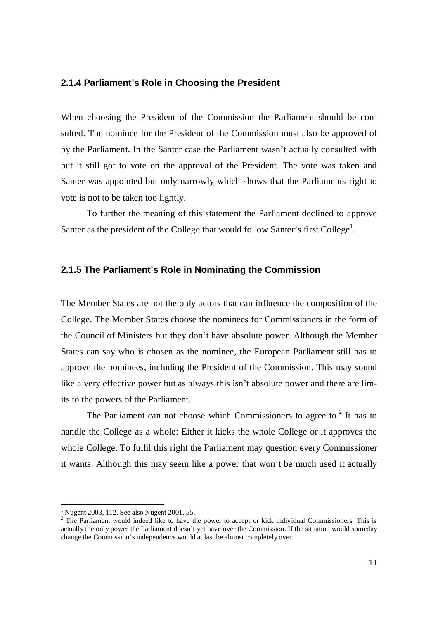### **2.1.4 Parliament's Role in Choosing the President**

When choosing the President of the Commission the Parliament should be consulted. The nominee for the President of the Commission must also be approved of by the Parliament. In the Santer case the Parliament wasn't actually consulted with but it still got to vote on the approval of the President. The vote was taken and Santer was appointed but only narrowly which shows that the Parliaments right to vote is not to be taken too lightly.

To further the meaning of this statement the Parliament declined to approve Santer as the president of the College that would follow Santer's first College<sup>1</sup>.

### **2.1.5 The Parliament's Role in Nominating the Commission**

The Member States are not the only actors that can influence the composition of the College. The Member States choose the nominees for Commissioners in the form of the Council of Ministers but they don't have absolute power. Although the Member States can say who is chosen as the nominee, the European Parliament still has to approve the nominees, including the President of the Commission. This may sound like a very effective power but as always this isn't absolute power and there are limits to the powers of the Parliament.

The Parliament can not choose which Commissioners to agree to. $2$  It has to handle the College as a whole: Either it kicks the whole College or it approves the whole College. To fulfil this right the Parliament may question every Commissioner it wants. Although this may seem like a power that won't be much used it actually

<sup>&</sup>lt;sup>1</sup> Nugent 2003, 112. See also Nugent 2001, 55.

 $2$  The Parliament would indeed like to have the power to accept or kick individual Commissioners. This is actually the only power the Parliament doesn't yet have over the Commission. If the situation would someday change the Commission's independence would at last be almost completely over.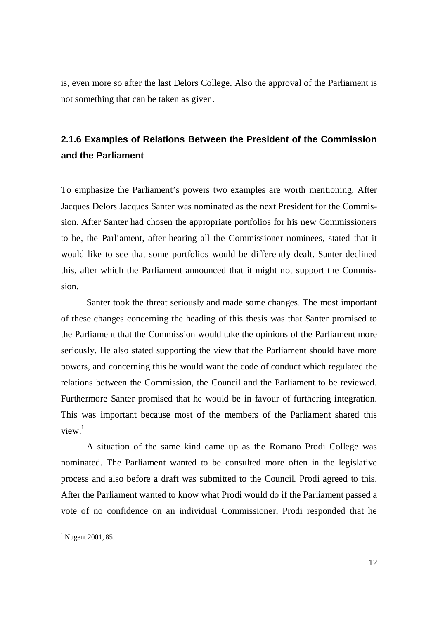is, even more so after the last Delors College. Also the approval of the Parliament is not something that can be taken as given.

# **2.1.6 Examples of Relations Between the President of the Commission and the Parliament**

To emphasize the Parliament's powers two examples are worth mentioning. After Jacques Delors Jacques Santer was nominated as the next President for the Commission. After Santer had chosen the appropriate portfolios for his new Commissioners to be, the Parliament, after hearing all the Commissioner nominees, stated that it would like to see that some portfolios would be differently dealt. Santer declined this, after which the Parliament announced that it might not support the Commission.

Santer took the threat seriously and made some changes. The most important of these changes concerning the heading of this thesis was that Santer promised to the Parliament that the Commission would take the opinions of the Parliament more seriously. He also stated supporting the view that the Parliament should have more powers, and concerning this he would want the code of conduct which regulated the relations between the Commission, the Council and the Parliament to be reviewed. Furthermore Santer promised that he would be in favour of furthering integration. This was important because most of the members of the Parliament shared this view.<sup>1</sup>

A situation of the same kind came up as the Romano Prodi College was nominated. The Parliament wanted to be consulted more often in the legislative process and also before a draft was submitted to the Council. Prodi agreed to this. After the Parliament wanted to know what Prodi would do if the Parliament passed a vote of no confidence on an individual Commissioner, Prodi responded that he

 $1$  Nugent 2001, 85.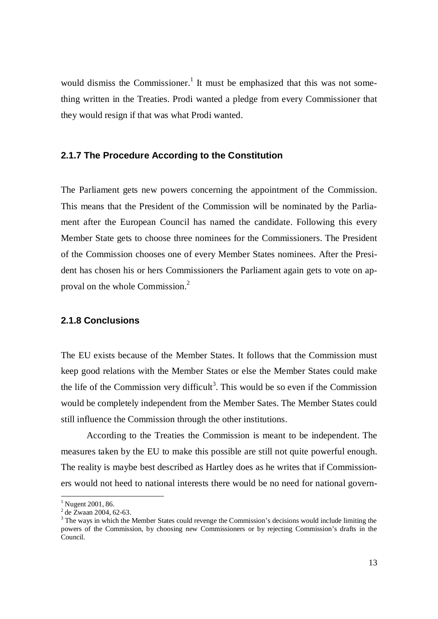would dismiss the Commissioner.<sup>1</sup> It must be emphasized that this was not something written in the Treaties. Prodi wanted a pledge from every Commissioner that they would resign if that was what Prodi wanted.

### **2.1.7 The Procedure According to the Constitution**

The Parliament gets new powers concerning the appointment of the Commission. This means that the President of the Commission will be nominated by the Parliament after the European Council has named the candidate. Following this every Member State gets to choose three nominees for the Commissioners. The President of the Commission chooses one of every Member States nominees. After the President has chosen his or hers Commissioners the Parliament again gets to vote on approval on the whole Commission.<sup>2</sup>

### **2.1.8 Conclusions**

The EU exists because of the Member States. It follows that the Commission must keep good relations with the Member States or else the Member States could make the life of the Commission very difficult<sup>3</sup>. This would be so even if the Commission would be completely independent from the Member Sates. The Member States could still influence the Commission through the other institutions.

According to the Treaties the Commission is meant to be independent. The measures taken by the EU to make this possible are still not quite powerful enough. The reality is maybe best described as Hartley does as he writes that if Commissioners would not heed to national interests there would be no need for national govern-

<sup>&</sup>lt;sup>1</sup> Nugent 2001, 86.

 $2^2$  de Zwaan 2004, 62-63.

 $3$  The ways in which the Member States could revenge the Commission's decisions would include limiting the powers of the Commission, by choosing new Commissioners or by rejecting Commission's drafts in the Council.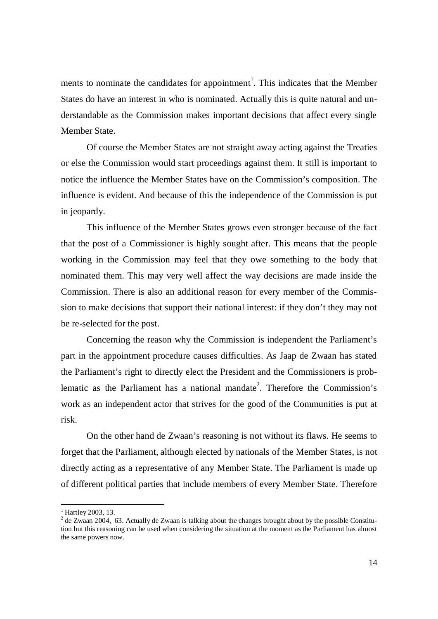ments to nominate the candidates for appointment<sup>1</sup>. This indicates that the Member States do have an interest in who is nominated. Actually this is quite natural and understandable as the Commission makes important decisions that affect every single Member State.

Of course the Member States are not straight away acting against the Treaties or else the Commission would start proceedings against them. It still is important to notice the influence the Member States have on the Commission's composition. The influence is evident. And because of this the independence of the Commission is put in jeopardy.

This influence of the Member States grows even stronger because of the fact that the post of a Commissioner is highly sought after. This means that the people working in the Commission may feel that they owe something to the body that nominated them. This may very well affect the way decisions are made inside the Commission. There is also an additional reason for every member of the Commission to make decisions that support their national interest: if they don't they may not be re-selected for the post.

Concerning the reason why the Commission is independent the Parliament's part in the appointment procedure causes difficulties. As Jaap de Zwaan has stated the Parliament's right to directly elect the President and the Commissioners is problematic as the Parliament has a national mandate<sup>2</sup>. Therefore the Commission's work as an independent actor that strives for the good of the Communities is put at risk.

On the other hand de Zwaan's reasoning is not without its flaws. He seems to forget that the Parliament, although elected by nationals of the Member States, is not directly acting as a representative of any Member State. The Parliament is made up of different political parties that include members of every Member State. Therefore

<sup>&</sup>lt;sup>1</sup> Hartley 2003, 13.

 $2$  de Zwaan 2004, 63. Actually de Zwaan is talking about the changes brought about by the possible Constitution but this reasoning can be used when considering the situation at the moment as the Parliament has almost the same powers now.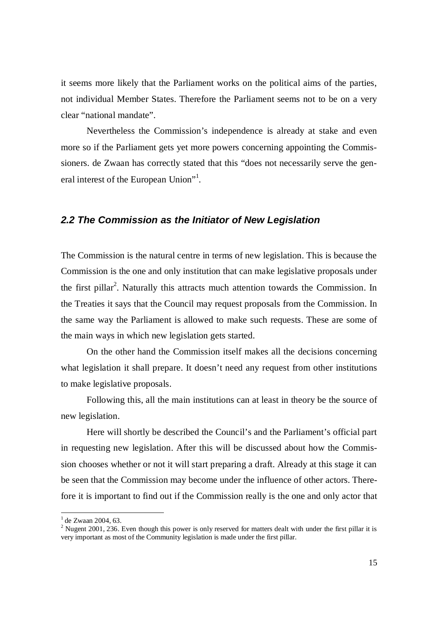it seems more likely that the Parliament works on the political aims of the parties, not individual Member States. Therefore the Parliament seems not to be on a very clear "national mandate".

Nevertheless the Commission's independence is already at stake and even more so if the Parliament gets yet more powers concerning appointing the Commissioners. de Zwaan has correctly stated that this "does not necessarily serve the general interest of the European Union"<sup>1</sup>.

### *2.2 The Commission as the Initiator of New Legislation*

The Commission is the natural centre in terms of new legislation. This is because the Commission is the one and only institution that can make legislative proposals under the first pillar<sup>2</sup>. Naturally this attracts much attention towards the Commission. In the Treaties it says that the Council may request proposals from the Commission. In the same way the Parliament is allowed to make such requests. These are some of the main ways in which new legislation gets started.

On the other hand the Commission itself makes all the decisions concerning what legislation it shall prepare. It doesn't need any request from other institutions to make legislative proposals.

Following this, all the main institutions can at least in theory be the source of new legislation.

Here will shortly be described the Council's and the Parliament's official part in requesting new legislation. After this will be discussed about how the Commission chooses whether or not it will start preparing a draft. Already at this stage it can be seen that the Commission may become under the influence of other actors. Therefore it is important to find out if the Commission really is the one and only actor that

<sup>&</sup>lt;sup>1</sup> de Zwaan 2004, 63.

<sup>&</sup>lt;sup>2</sup> Nugent 2001, 236. Even though this power is only reserved for matters dealt with under the first pillar it is very important as most of the Community legislation is made under the first pillar.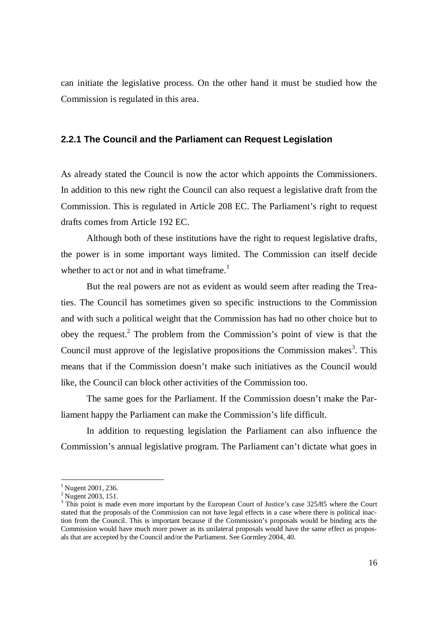can initiate the legislative process. On the other hand it must be studied how the Commission is regulated in this area.

### **2.2.1 The Council and the Parliament can Request Legislation**

As already stated the Council is now the actor which appoints the Commissioners. In addition to this new right the Council can also request a legislative draft from the Commission. This is regulated in Article 208 EC. The Parliament's right to request drafts comes from Article 192 EC.

Although both of these institutions have the right to request legislative drafts, the power is in some important ways limited. The Commission can itself decide whether to act or not and in what timeframe.<sup>1</sup>

But the real powers are not as evident as would seem after reading the Treaties. The Council has sometimes given so specific instructions to the Commission and with such a political weight that the Commission has had no other choice but to obey the request.<sup>2</sup> The problem from the Commission's point of view is that the Council must approve of the legislative propositions the Commission makes<sup>3</sup>. This means that if the Commission doesn't make such initiatives as the Council would like, the Council can block other activities of the Commission too.

The same goes for the Parliament. If the Commission doesn't make the Parliament happy the Parliament can make the Commission's life difficult.

In addition to requesting legislation the Parliament can also influence the Commission's annual legislative program. The Parliament can't dictate what goes in

<sup>&</sup>lt;sup>1</sup> Nugent 2001, 236.

<sup>&</sup>lt;sup>2</sup> Nugent 2003, 151.

<sup>&</sup>lt;sup>3</sup> This point is made even more important by the European Court of Justice's case 325/85 where the Court stated that the proposals of the Commission can not have legal effects in a case where there is political inaction from the Council. This is important because if the Commission's proposals would be binding acts the Commission would have much more power as its unilateral proposals would have the same effect as proposals that are accepted by the Council and/or the Parliament. See Gormley 2004, 40.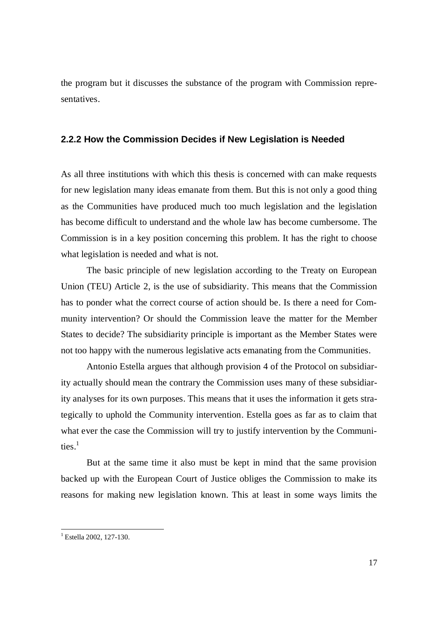the program but it discusses the substance of the program with Commission representatives.

### **2.2.2 How the Commission Decides if New Legislation is Needed**

As all three institutions with which this thesis is concerned with can make requests for new legislation many ideas emanate from them. But this is not only a good thing as the Communities have produced much too much legislation and the legislation has become difficult to understand and the whole law has become cumbersome. The Commission is in a key position concerning this problem. It has the right to choose what legislation is needed and what is not.

The basic principle of new legislation according to the Treaty on European Union (TEU) Article 2, is the use of subsidiarity. This means that the Commission has to ponder what the correct course of action should be. Is there a need for Community intervention? Or should the Commission leave the matter for the Member States to decide? The subsidiarity principle is important as the Member States were not too happy with the numerous legislative acts emanating from the Communities.

Antonio Estella argues that although provision 4 of the Protocol on subsidiarity actually should mean the contrary the Commission uses many of these subsidiarity analyses for its own purposes. This means that it uses the information it gets strategically to uphold the Community intervention. Estella goes as far as to claim that what ever the case the Commission will try to justify intervention by the Communities.<sup>1</sup>

But at the same time it also must be kept in mind that the same provision backed up with the European Court of Justice obliges the Commission to make its reasons for making new legislation known. This at least in some ways limits the

<sup>&</sup>lt;sup>1</sup> Estella 2002, 127-130.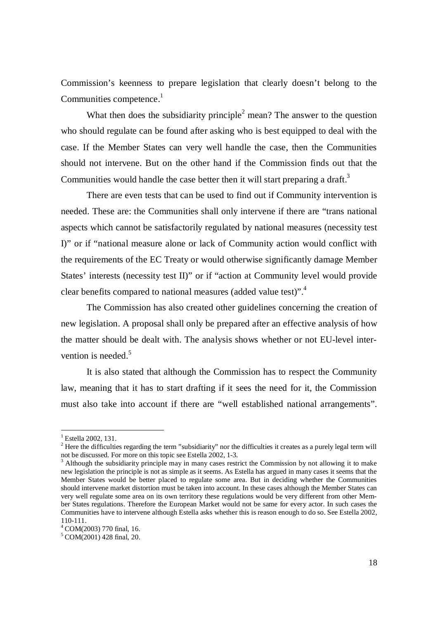Commission's keenness to prepare legislation that clearly doesn't belong to the Communities competence.<sup>1</sup>

What then does the subsidiarity principle<sup>2</sup> mean? The answer to the question who should regulate can be found after asking who is best equipped to deal with the case. If the Member States can very well handle the case, then the Communities should not intervene. But on the other hand if the Commission finds out that the Communities would handle the case better then it will start preparing a draft.<sup>3</sup>

There are even tests that can be used to find out if Community intervention is needed. These are: the Communities shall only intervene if there are "trans national aspects which cannot be satisfactorily regulated by national measures (necessity test I)" or if "national measure alone or lack of Community action would conflict with the requirements of the EC Treaty or would otherwise significantly damage Member States' interests (necessity test II)" or if "action at Community level would provide clear benefits compared to national measures (added value test)".<sup>4</sup>

The Commission has also created other guidelines concerning the creation of new legislation. A proposal shall only be prepared after an effective analysis of how the matter should be dealt with. The analysis shows whether or not EU-level intervention is needed. $5$ 

It is also stated that although the Commission has to respect the Community law, meaning that it has to start drafting if it sees the need for it, the Commission must also take into account if there are "well established national arrangements".

<sup>&</sup>lt;sup>1</sup> Estella 2002, 131.

 $2<sup>2</sup>$  Here the difficulties regarding the term "subsidiarity" nor the difficulties it creates as a purely legal term will not be discussed. For more on this topic see Estella 2002, 1-3.

 $3$  Although the subsidiarity principle may in many cases restrict the Commission by not allowing it to make new legislation the principle is not as simple as it seems. As Estella has argued in many cases it seems that the Member States would be better placed to regulate some area. But in deciding whether the Communities should intervene market distortion must be taken into account. In these cases although the Member States can very well regulate some area on its own territory these regulations would be very different from other Member States regulations. Therefore the European Market would not be same for every actor. In such cases the Communities have to intervene although Estella asks whether this is reason enough to do so. See Estella 2002, 110-111.

<sup>4</sup> COM(2003) 770 final, 16.

<sup>5</sup> COM(2001) 428 final, 20.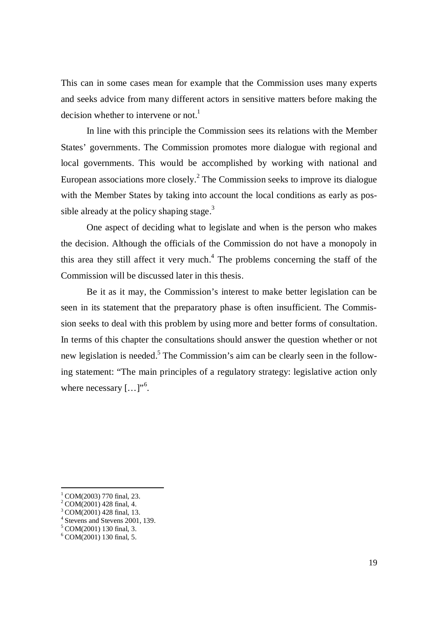This can in some cases mean for example that the Commission uses many experts and seeks advice from many different actors in sensitive matters before making the decision whether to intervene or not.<sup>1</sup>

In line with this principle the Commission sees its relations with the Member States' governments. The Commission promotes more dialogue with regional and local governments. This would be accomplished by working with national and European associations more closely. $^2$  The Commission seeks to improve its dialogue with the Member States by taking into account the local conditions as early as possible already at the policy shaping stage. $3$ 

One aspect of deciding what to legislate and when is the person who makes the decision. Although the officials of the Commission do not have a monopoly in this area they still affect it very much.<sup>4</sup> The problems concerning the staff of the Commission will be discussed later in this thesis.

Be it as it may, the Commission's interest to make better legislation can be seen in its statement that the preparatory phase is often insufficient. The Commission seeks to deal with this problem by using more and better forms of consultation. In terms of this chapter the consultations should answer the question whether or not new legislation is needed.<sup>5</sup> The Commission's aim can be clearly seen in the following statement: "The main principles of a regulatory strategy: legislative action only where necessary  $[...]^{,6}$ .

 $1$  COM(2003) 770 final, 23.

 $2^2$  COM(2001) 428 final, 4.

<sup>3</sup> COM(2001) 428 final, 13.

<sup>4</sup> Stevens and Stevens 2001, 139.

<sup>&</sup>lt;sup>5</sup> COM(2001) 130 final, 3.

<sup>6</sup> COM(2001) 130 final, 5.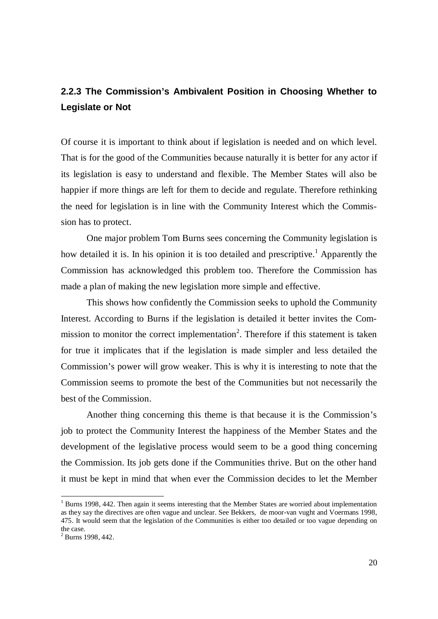# **2.2.3 The Commission's Ambivalent Position in Choosing Whether to Legislate or Not**

Of course it is important to think about if legislation is needed and on which level. That is for the good of the Communities because naturally it is better for any actor if its legislation is easy to understand and flexible. The Member States will also be happier if more things are left for them to decide and regulate. Therefore rethinking the need for legislation is in line with the Community Interest which the Commission has to protect.

One major problem Tom Burns sees concerning the Community legislation is how detailed it is. In his opinion it is too detailed and prescriptive.<sup>1</sup> Apparently the Commission has acknowledged this problem too. Therefore the Commission has made a plan of making the new legislation more simple and effective.

This shows how confidently the Commission seeks to uphold the Community Interest. According to Burns if the legislation is detailed it better invites the Commission to monitor the correct implementation<sup>2</sup>. Therefore if this statement is taken for true it implicates that if the legislation is made simpler and less detailed the Commission's power will grow weaker. This is why it is interesting to note that the Commission seems to promote the best of the Communities but not necessarily the best of the Commission.

Another thing concerning this theme is that because it is the Commission's job to protect the Community Interest the happiness of the Member States and the development of the legislative process would seem to be a good thing concerning the Commission. Its job gets done if the Communities thrive. But on the other hand it must be kept in mind that when ever the Commission decides to let the Member

<sup>&</sup>lt;sup>1</sup> Burns 1998, 442. Then again it seems interesting that the Member States are worried about implementation as they say the directives are often vague and unclear. See Bekkers, de moor-van vught and Voermans 1998, 475. It would seem that the legislation of the Communities is either too detailed or too vague depending on the case.

 $2$  Burns 1998, 442.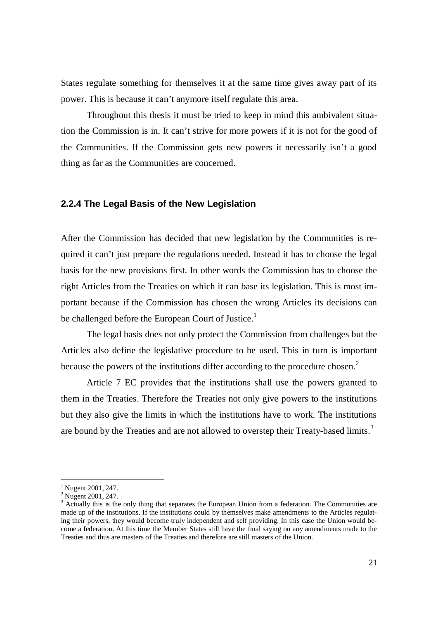States regulate something for themselves it at the same time gives away part of its power. This is because it can't anymore itself regulate this area.

Throughout this thesis it must be tried to keep in mind this ambivalent situation the Commission is in. It can't strive for more powers if it is not for the good of the Communities. If the Commission gets new powers it necessarily isn't a good thing as far as the Communities are concerned.

### **2.2.4 The Legal Basis of the New Legislation**

After the Commission has decided that new legislation by the Communities is required it can't just prepare the regulations needed. Instead it has to choose the legal basis for the new provisions first. In other words the Commission has to choose the right Articles from the Treaties on which it can base its legislation. This is most important because if the Commission has chosen the wrong Articles its decisions can be challenged before the European Court of Justice.<sup>1</sup>

The legal basis does not only protect the Commission from challenges but the Articles also define the legislative procedure to be used. This in turn is important because the powers of the institutions differ according to the procedure chosen.<sup>2</sup>

Article 7 EC provides that the institutions shall use the powers granted to them in the Treaties. Therefore the Treaties not only give powers to the institutions but they also give the limits in which the institutions have to work. The institutions are bound by the Treaties and are not allowed to overstep their Treaty-based limits.<sup>3</sup>

<sup>&</sup>lt;sup>1</sup> Nugent 2001, 247.

<sup>&</sup>lt;sup>2</sup> Nugent 2001, 247.

<sup>&</sup>lt;sup>3</sup> Actually this is the only thing that separates the European Union from a federation. The Communities are made up of the institutions. If the institutions could by themselves make amendments to the Articles regulating their powers, they would become truly independent and self providing. In this case the Union would become a federation. At this time the Member States still have the final saying on any amendments made to the Treaties and thus are masters of the Treaties and therefore are still masters of the Union.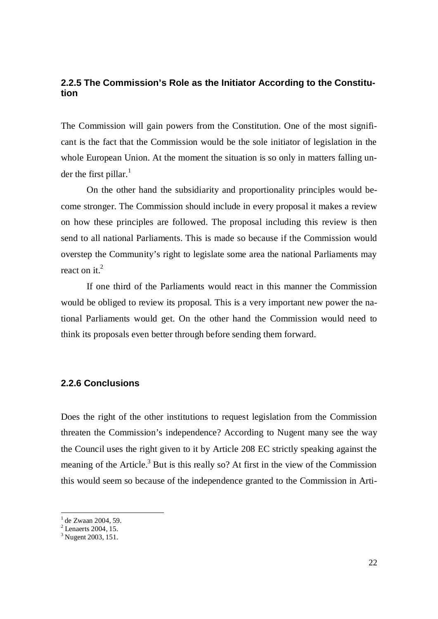# **2.2.5 The Commission's Role as the Initiator According to the Constitution**

The Commission will gain powers from the Constitution. One of the most significant is the fact that the Commission would be the sole initiator of legislation in the whole European Union. At the moment the situation is so only in matters falling under the first pillar. $<sup>1</sup>$ </sup>

On the other hand the subsidiarity and proportionality principles would become stronger. The Commission should include in every proposal it makes a review on how these principles are followed. The proposal including this review is then send to all national Parliaments. This is made so because if the Commission would overstep the Community's right to legislate some area the national Parliaments may react on it. $<sup>2</sup>$ </sup>

If one third of the Parliaments would react in this manner the Commission would be obliged to review its proposal. This is a very important new power the national Parliaments would get. On the other hand the Commission would need to think its proposals even better through before sending them forward.

## **2.2.6 Conclusions**

Does the right of the other institutions to request legislation from the Commission threaten the Commission's independence? According to Nugent many see the way the Council uses the right given to it by Article 208 EC strictly speaking against the meaning of the Article.<sup>3</sup> But is this really so? At first in the view of the Commission this would seem so because of the independence granted to the Commission in Arti-

<sup>&</sup>lt;sup>1</sup> de Zwaan 2004, 59.

 $<sup>2</sup>$  Lenaerts 2004, 15.</sup>

<sup>&</sup>lt;sup>3</sup> Nugent 2003, 151.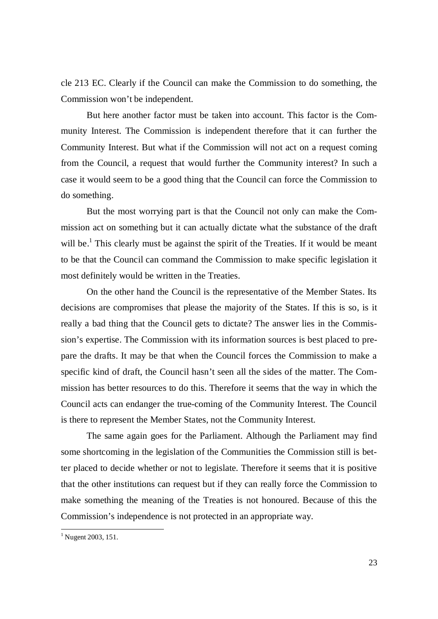cle 213 EC. Clearly if the Council can make the Commission to do something, the Commission won't be independent.

But here another factor must be taken into account. This factor is the Community Interest. The Commission is independent therefore that it can further the Community Interest. But what if the Commission will not act on a request coming from the Council, a request that would further the Community interest? In such a case it would seem to be a good thing that the Council can force the Commission to do something.

But the most worrying part is that the Council not only can make the Commission act on something but it can actually dictate what the substance of the draft will be.<sup>1</sup> This clearly must be against the spirit of the Treaties. If it would be meant to be that the Council can command the Commission to make specific legislation it most definitely would be written in the Treaties.

On the other hand the Council is the representative of the Member States. Its decisions are compromises that please the majority of the States. If this is so, is it really a bad thing that the Council gets to dictate? The answer lies in the Commission's expertise. The Commission with its information sources is best placed to prepare the drafts. It may be that when the Council forces the Commission to make a specific kind of draft, the Council hasn't seen all the sides of the matter. The Commission has better resources to do this. Therefore it seems that the way in which the Council acts can endanger the true-coming of the Community Interest. The Council is there to represent the Member States, not the Community Interest.

The same again goes for the Parliament. Although the Parliament may find some shortcoming in the legislation of the Communities the Commission still is better placed to decide whether or not to legislate. Therefore it seems that it is positive that the other institutions can request but if they can really force the Commission to make something the meaning of the Treaties is not honoured. Because of this the Commission's independence is not protected in an appropriate way.

<sup>&</sup>lt;sup>1</sup> Nugent 2003, 151.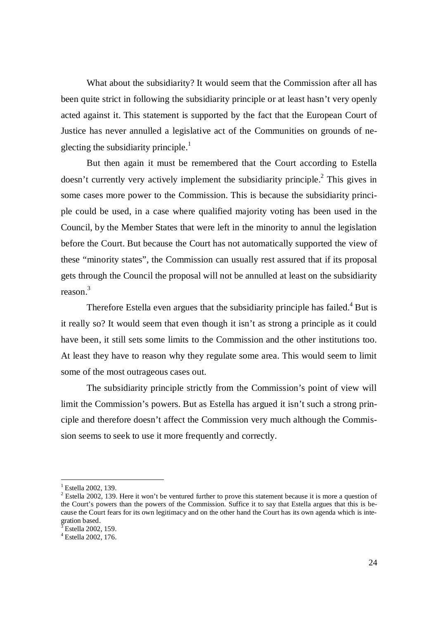What about the subsidiarity? It would seem that the Commission after all has been quite strict in following the subsidiarity principle or at least hasn't very openly acted against it. This statement is supported by the fact that the European Court of Justice has never annulled a legislative act of the Communities on grounds of neglecting the subsidiarity principle. $\overline{1}$ 

But then again it must be remembered that the Court according to Estella doesn't currently very actively implement the subsidiarity principle.<sup>2</sup> This gives in some cases more power to the Commission. This is because the subsidiarity principle could be used, in a case where qualified majority voting has been used in the Council, by the Member States that were left in the minority to annul the legislation before the Court. But because the Court has not automatically supported the view of these "minority states", the Commission can usually rest assured that if its proposal gets through the Council the proposal will not be annulled at least on the subsidiarity reason.<sup>3</sup>

Therefore Estella even argues that the subsidiarity principle has failed.<sup>4</sup> But is it really so? It would seem that even though it isn't as strong a principle as it could have been, it still sets some limits to the Commission and the other institutions too. At least they have to reason why they regulate some area. This would seem to limit some of the most outrageous cases out.

The subsidiarity principle strictly from the Commission's point of view will limit the Commission's powers. But as Estella has argued it isn't such a strong principle and therefore doesn't affect the Commission very much although the Commission seems to seek to use it more frequently and correctly.

<sup>&</sup>lt;sup>1</sup> Estella 2002, 139.

<sup>&</sup>lt;sup>2</sup> Estella 2002, 139. Here it won't be ventured further to prove this statement because it is more a question of the Court's powers than the powers of the Commission. Suffice it to say that Estella argues that this is because the Court fears for its own legitimacy and on the other hand the Court has its own agenda which is integration based.

 $^3$  Estella 2002, 159.

<sup>4</sup> Estella 2002, 176.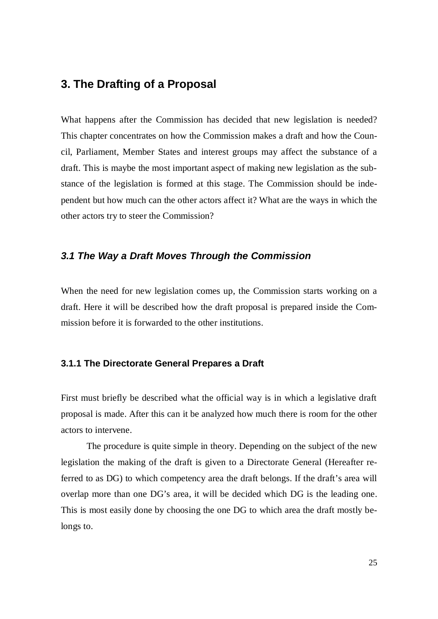# **3. The Drafting of a Proposal**

What happens after the Commission has decided that new legislation is needed? This chapter concentrates on how the Commission makes a draft and how the Council, Parliament, Member States and interest groups may affect the substance of a draft. This is maybe the most important aspect of making new legislation as the substance of the legislation is formed at this stage. The Commission should be independent but how much can the other actors affect it? What are the ways in which the other actors try to steer the Commission?

## *3.1 The Way a Draft Moves Through the Commission*

When the need for new legislation comes up, the Commission starts working on a draft. Here it will be described how the draft proposal is prepared inside the Commission before it is forwarded to the other institutions.

### **3.1.1 The Directorate General Prepares a Draft**

First must briefly be described what the official way is in which a legislative draft proposal is made. After this can it be analyzed how much there is room for the other actors to intervene.

The procedure is quite simple in theory. Depending on the subject of the new legislation the making of the draft is given to a Directorate General (Hereafter referred to as DG) to which competency area the draft belongs. If the draft's area will overlap more than one DG's area, it will be decided which DG is the leading one. This is most easily done by choosing the one DG to which area the draft mostly belongs to.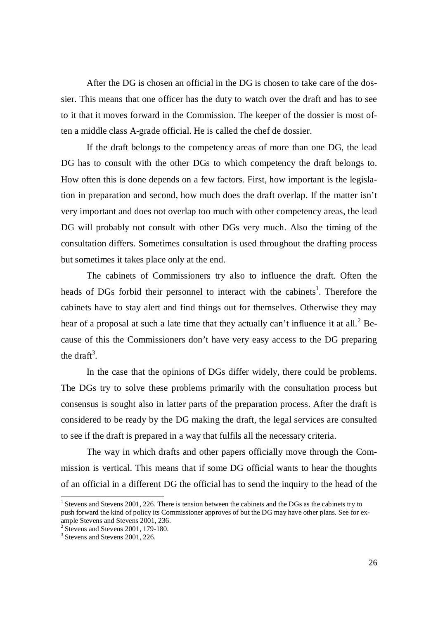After the DG is chosen an official in the DG is chosen to take care of the dossier. This means that one officer has the duty to watch over the draft and has to see to it that it moves forward in the Commission. The keeper of the dossier is most often a middle class A-grade official. He is called the chef de dossier.

If the draft belongs to the competency areas of more than one DG, the lead DG has to consult with the other DGs to which competency the draft belongs to. How often this is done depends on a few factors. First, how important is the legislation in preparation and second, how much does the draft overlap. If the matter isn't very important and does not overlap too much with other competency areas, the lead DG will probably not consult with other DGs very much. Also the timing of the consultation differs. Sometimes consultation is used throughout the drafting process but sometimes it takes place only at the end.

The cabinets of Commissioners try also to influence the draft. Often the heads of DGs forbid their personnel to interact with the cabinets<sup>1</sup>. Therefore the cabinets have to stay alert and find things out for themselves. Otherwise they may hear of a proposal at such a late time that they actually can't influence it at all.<sup>2</sup> Because of this the Commissioners don't have very easy access to the DG preparing the draft<sup>3</sup>.

In the case that the opinions of DGs differ widely, there could be problems. The DGs try to solve these problems primarily with the consultation process but consensus is sought also in latter parts of the preparation process. After the draft is considered to be ready by the DG making the draft, the legal services are consulted to see if the draft is prepared in a way that fulfils all the necessary criteria.

The way in which drafts and other papers officially move through the Commission is vertical. This means that if some DG official wants to hear the thoughts of an official in a different DG the official has to send the inquiry to the head of the

<sup>&</sup>lt;sup>1</sup> Stevens and Stevens 2001, 226. There is tension between the cabinets and the DGs as the cabinets try to push forward the kind of policy its Commissioner approves of but the DG may have other plans. See for example Stevens and Stevens 2001, 236.

<sup>&</sup>lt;sup>2</sup> Stevens and Stevens 2001, 179-180.

<sup>&</sup>lt;sup>3</sup> Stevens and Stevens 2001, 226.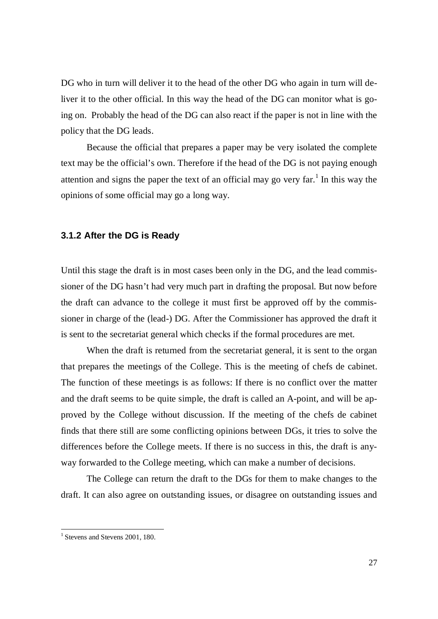DG who in turn will deliver it to the head of the other DG who again in turn will deliver it to the other official. In this way the head of the DG can monitor what is going on. Probably the head of the DG can also react if the paper is not in line with the policy that the DG leads.

Because the official that prepares a paper may be very isolated the complete text may be the official's own. Therefore if the head of the DG is not paying enough attention and signs the paper the text of an official may go very far.<sup>1</sup> In this way the opinions of some official may go a long way.

### **3.1.2 After the DG is Ready**

Until this stage the draft is in most cases been only in the DG, and the lead commissioner of the DG hasn't had very much part in drafting the proposal. But now before the draft can advance to the college it must first be approved off by the commissioner in charge of the (lead-) DG. After the Commissioner has approved the draft it is sent to the secretariat general which checks if the formal procedures are met.

When the draft is returned from the secretariat general, it is sent to the organ that prepares the meetings of the College. This is the meeting of chefs de cabinet. The function of these meetings is as follows: If there is no conflict over the matter and the draft seems to be quite simple, the draft is called an A-point, and will be approved by the College without discussion. If the meeting of the chefs de cabinet finds that there still are some conflicting opinions between DGs, it tries to solve the differences before the College meets. If there is no success in this, the draft is anyway forwarded to the College meeting, which can make a number of decisions.

The College can return the draft to the DGs for them to make changes to the draft. It can also agree on outstanding issues, or disagree on outstanding issues and

<sup>&</sup>lt;sup>1</sup> Stevens and Stevens 2001, 180.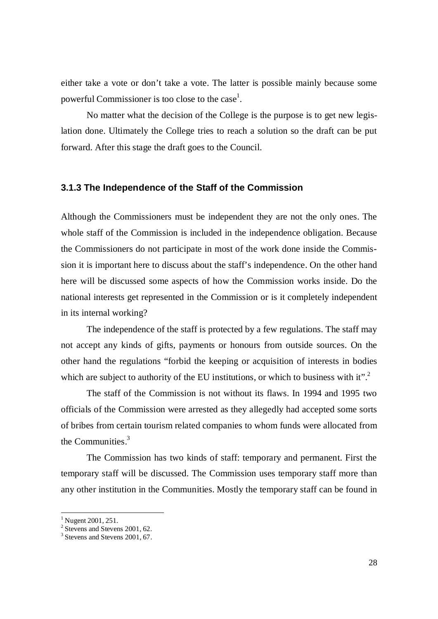either take a vote or don't take a vote. The latter is possible mainly because some powerful Commissioner is too close to the case<sup>1</sup>.

No matter what the decision of the College is the purpose is to get new legislation done. Ultimately the College tries to reach a solution so the draft can be put forward. After this stage the draft goes to the Council.

### **3.1.3 The Independence of the Staff of the Commission**

Although the Commissioners must be independent they are not the only ones. The whole staff of the Commission is included in the independence obligation. Because the Commissioners do not participate in most of the work done inside the Commission it is important here to discuss about the staff's independence. On the other hand here will be discussed some aspects of how the Commission works inside. Do the national interests get represented in the Commission or is it completely independent in its internal working?

The independence of the staff is protected by a few regulations. The staff may not accept any kinds of gifts, payments or honours from outside sources. On the other hand the regulations "forbid the keeping or acquisition of interests in bodies which are subject to authority of the EU institutions, or which to business with it".<sup>2</sup>

The staff of the Commission is not without its flaws. In 1994 and 1995 two officials of the Commission were arrested as they allegedly had accepted some sorts of bribes from certain tourism related companies to whom funds were allocated from the Communities.<sup>3</sup>

The Commission has two kinds of staff: temporary and permanent. First the temporary staff will be discussed. The Commission uses temporary staff more than any other institution in the Communities. Mostly the temporary staff can be found in

<sup>&</sup>lt;sup>1</sup> Nugent 2001, 251.

<sup>&</sup>lt;sup>2</sup> Stevens and Stevens 2001, 62.

<sup>&</sup>lt;sup>3</sup> Stevens and Stevens 2001, 67.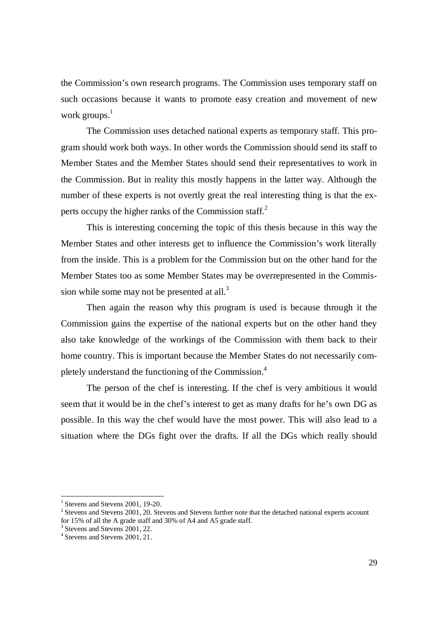the Commission's own research programs. The Commission uses temporary staff on such occasions because it wants to promote easy creation and movement of new work groups. $<sup>1</sup>$ </sup>

The Commission uses detached national experts as temporary staff. This program should work both ways. In other words the Commission should send its staff to Member States and the Member States should send their representatives to work in the Commission. But in reality this mostly happens in the latter way. Although the number of these experts is not overtly great the real interesting thing is that the experts occupy the higher ranks of the Commission staff.<sup>2</sup>

This is interesting concerning the topic of this thesis because in this way the Member States and other interests get to influence the Commission's work literally from the inside. This is a problem for the Commission but on the other hand for the Member States too as some Member States may be overrepresented in the Commission while some may not be presented at all.<sup>3</sup>

Then again the reason why this program is used is because through it the Commission gains the expertise of the national experts but on the other hand they also take knowledge of the workings of the Commission with them back to their home country. This is important because the Member States do not necessarily completely understand the functioning of the Commission.<sup>4</sup>

The person of the chef is interesting. If the chef is very ambitious it would seem that it would be in the chef's interest to get as many drafts for he's own DG as possible. In this way the chef would have the most power. This will also lead to a situation where the DGs fight over the drafts. If all the DGs which really should

<sup>&</sup>lt;sup>1</sup> Stevens and Stevens 2001, 19-20.

 $2$  Stevens and Stevens 2001, 20. Stevens and Stevens further note that the detached national experts account for 15% of all the A grade staff and 30% of A4 and A5 grade staff.

<sup>&</sup>lt;sup>3</sup> Stevens and Stevens 2001, 22.

<sup>4</sup> Stevens and Stevens 2001, 21.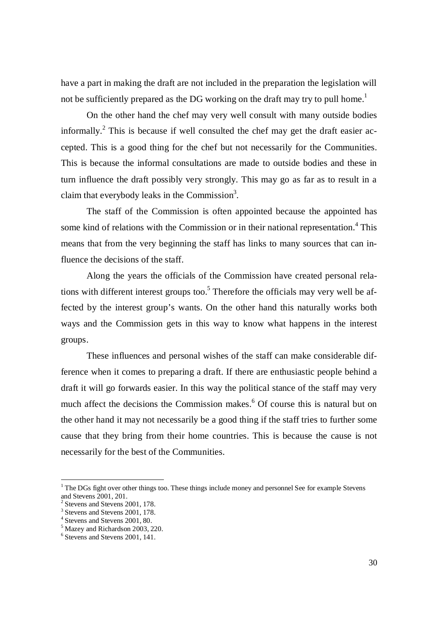have a part in making the draft are not included in the preparation the legislation will not be sufficiently prepared as the DG working on the draft may try to pull home.<sup>1</sup>

On the other hand the chef may very well consult with many outside bodies informally.<sup>2</sup> This is because if well consulted the chef may get the draft easier accepted. This is a good thing for the chef but not necessarily for the Communities. This is because the informal consultations are made to outside bodies and these in turn influence the draft possibly very strongly. This may go as far as to result in a claim that everybody leaks in the Commission<sup>3</sup>.

The staff of the Commission is often appointed because the appointed has some kind of relations with the Commission or in their national representation.<sup>4</sup> This means that from the very beginning the staff has links to many sources that can influence the decisions of the staff.

Along the years the officials of the Commission have created personal relations with different interest groups too.<sup>5</sup> Therefore the officials may very well be affected by the interest group's wants. On the other hand this naturally works both ways and the Commission gets in this way to know what happens in the interest groups.

These influences and personal wishes of the staff can make considerable difference when it comes to preparing a draft. If there are enthusiastic people behind a draft it will go forwards easier. In this way the political stance of the staff may very much affect the decisions the Commission makes.<sup>6</sup> Of course this is natural but on the other hand it may not necessarily be a good thing if the staff tries to further some cause that they bring from their home countries. This is because the cause is not necessarily for the best of the Communities.

<sup>&</sup>lt;sup>1</sup> The DGs fight over other things too. These things include money and personnel See for example Stevens and Stevens 2001, 201.

<sup>2</sup> Stevens and Stevens 2001, 178.

<sup>&</sup>lt;sup>3</sup> Stevens and Stevens 2001, 178.

<sup>4</sup> Stevens and Stevens 2001, 80.

<sup>&</sup>lt;sup>5</sup> Mazey and Richardson 2003, 220.

<sup>6</sup> Stevens and Stevens 2001, 141.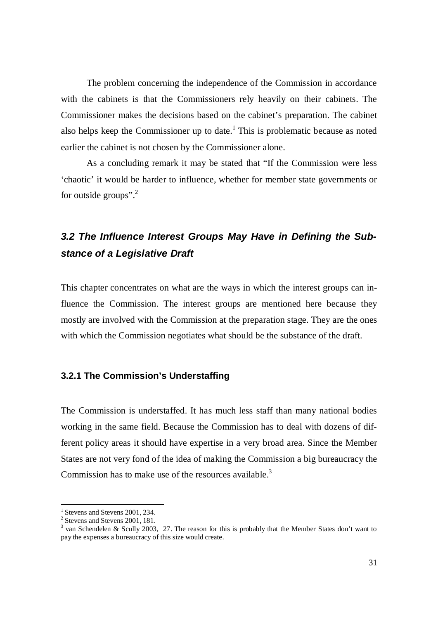The problem concerning the independence of the Commission in accordance with the cabinets is that the Commissioners rely heavily on their cabinets. The Commissioner makes the decisions based on the cabinet's preparation. The cabinet also helps keep the Commissioner up to date.<sup>1</sup> This is problematic because as noted earlier the cabinet is not chosen by the Commissioner alone.

As a concluding remark it may be stated that "If the Commission were less 'chaotic' it would be harder to influence, whether for member state governments or for outside groups". $^{2}$ 

# *3.2 The Influence Interest Groups May Have in Defining the Substance of a Legislative Draft*

This chapter concentrates on what are the ways in which the interest groups can influence the Commission. The interest groups are mentioned here because they mostly are involved with the Commission at the preparation stage. They are the ones with which the Commission negotiates what should be the substance of the draft.

### **3.2.1 The Commission's Understaffing**

The Commission is understaffed. It has much less staff than many national bodies working in the same field. Because the Commission has to deal with dozens of different policy areas it should have expertise in a very broad area. Since the Member States are not very fond of the idea of making the Commission a big bureaucracy the Commission has to make use of the resources available. $3$ 

<sup>&</sup>lt;sup>1</sup> Stevens and Stevens 2001, 234.

<sup>&</sup>lt;sup>2</sup> Stevens and Stevens 2001, 181.

<sup>&</sup>lt;sup>3</sup> van Schendelen & Scully 2003, 27. The reason for this is probably that the Member States don't want to pay the expenses a bureaucracy of this size would create.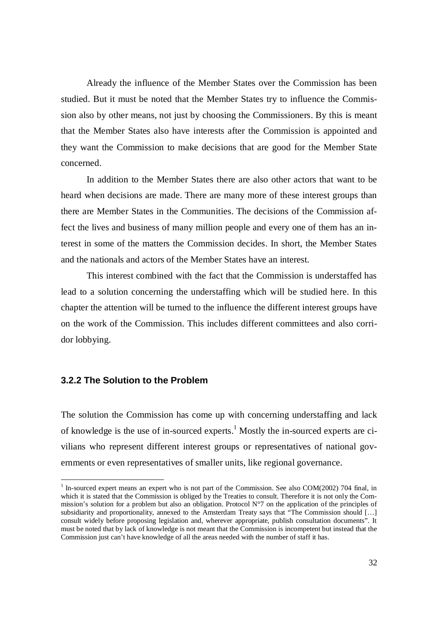Already the influence of the Member States over the Commission has been studied. But it must be noted that the Member States try to influence the Commission also by other means, not just by choosing the Commissioners. By this is meant that the Member States also have interests after the Commission is appointed and they want the Commission to make decisions that are good for the Member State concerned.

In addition to the Member States there are also other actors that want to be heard when decisions are made. There are many more of these interest groups than there are Member States in the Communities. The decisions of the Commission affect the lives and business of many million people and every one of them has an interest in some of the matters the Commission decides. In short, the Member States and the nationals and actors of the Member States have an interest.

This interest combined with the fact that the Commission is understaffed has lead to a solution concerning the understaffing which will be studied here. In this chapter the attention will be turned to the influence the different interest groups have on the work of the Commission. This includes different committees and also corridor lobbying.

#### **3.2.2 The Solution to the Problem**

The solution the Commission has come up with concerning understaffing and lack of knowledge is the use of in-sourced experts.<sup>1</sup> Mostly the in-sourced experts are civilians who represent different interest groups or representatives of national governments or even representatives of smaller units, like regional governance.

 $1$  In-sourced expert means an expert who is not part of the Commission. See also COM(2002) 704 final, in which it is stated that the Commission is obliged by the Treaties to consult. Therefore it is not only the Commission's solution for a problem but also an obligation. Protocol N°7 on the application of the principles of subsidiarity and proportionality, annexed to the Amsterdam Treaty says that "The Commission should [...] consult widely before proposing legislation and, wherever appropriate, publish consultation documents". It must be noted that by lack of knowledge is not meant that the Commission is incompetent but instead that the Commission just can't have knowledge of all the areas needed with the number of staff it has.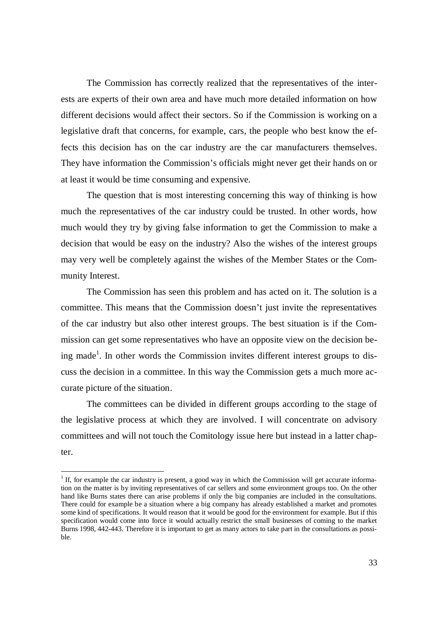The Commission has correctly realized that the representatives of the interests are experts of their own area and have much more detailed information on how different decisions would affect their sectors. So if the Commission is working on a legislative draft that concerns, for example, cars, the people who best know the effects this decision has on the car industry are the car manufacturers themselves. They have information the Commission's officials might never get their hands on or at least it would be time consuming and expensive.

The question that is most interesting concerning this way of thinking is how much the representatives of the car industry could be trusted. In other words, how much would they try by giving false information to get the Commission to make a decision that would be easy on the industry? Also the wishes of the interest groups may very well be completely against the wishes of the Member States or the Community Interest.

The Commission has seen this problem and has acted on it. The solution is a committee. This means that the Commission doesn't just invite the representatives of the car industry but also other interest groups. The best situation is if the Commission can get some representatives who have an opposite view on the decision being made<sup>1</sup>. In other words the Commission invites different interest groups to discuss the decision in a committee. In this way the Commission gets a much more accurate picture of the situation.

The committees can be divided in different groups according to the stage of the legislative process at which they are involved. I will concentrate on advisory committees and will not touch the Comitology issue here but instead in a latter chapter.

<sup>&</sup>lt;sup>1</sup> If, for example the car industry is present, a good way in which the Commission will get accurate information on the matter is by inviting representatives of car sellers and some environment groups too. On the other hand like Burns states there can arise problems if only the big companies are included in the consultations. There could for example be a situation where a big company has already established a market and promotes some kind of specifications. It would reason that it would be good for the environment for example. But if this specification would come into force it would actually restrict the small businesses of coming to the market Burns 1998, 442-443. Therefore it is important to get as many actors to take part in the consultations as possible.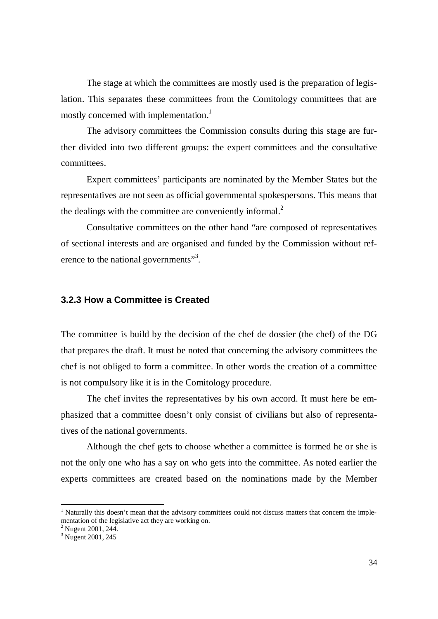The stage at which the committees are mostly used is the preparation of legislation. This separates these committees from the Comitology committees that are mostly concerned with implementation.<sup>1</sup>

The advisory committees the Commission consults during this stage are further divided into two different groups: the expert committees and the consultative committees.

Expert committees' participants are nominated by the Member States but the representatives are not seen as official governmental spokespersons. This means that the dealings with the committee are conveniently informal.<sup>2</sup>

Consultative committees on the other hand "are composed of representatives of sectional interests and are organised and funded by the Commission without reference to the national governments"<sup>3</sup>.

#### **3.2.3 How a Committee is Created**

The committee is build by the decision of the chef de dossier (the chef) of the DG that prepares the draft. It must be noted that concerning the advisory committees the chef is not obliged to form a committee. In other words the creation of a committee is not compulsory like it is in the Comitology procedure.

The chef invites the representatives by his own accord. It must here be emphasized that a committee doesn't only consist of civilians but also of representatives of the national governments.

Although the chef gets to choose whether a committee is formed he or she is not the only one who has a say on who gets into the committee. As noted earlier the experts committees are created based on the nominations made by the Member

<sup>&</sup>lt;sup>1</sup> Naturally this doesn't mean that the advisory committees could not discuss matters that concern the implementation of the legislative act they are working on.

<sup>&</sup>lt;sup>2</sup> Nugent 2001, 244.

<sup>&</sup>lt;sup>3</sup> Nugent 2001, 245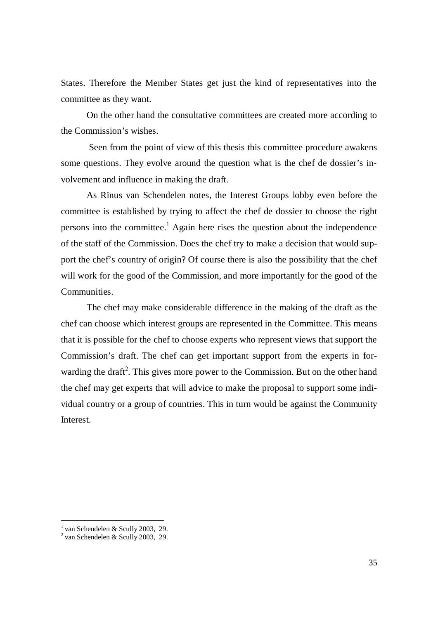States. Therefore the Member States get just the kind of representatives into the committee as they want.

On the other hand the consultative committees are created more according to the Commission's wishes.

 Seen from the point of view of this thesis this committee procedure awakens some questions. They evolve around the question what is the chef de dossier's involvement and influence in making the draft.

As Rinus van Schendelen notes, the Interest Groups lobby even before the committee is established by trying to affect the chef de dossier to choose the right persons into the committee.<sup>1</sup> Again here rises the question about the independence of the staff of the Commission. Does the chef try to make a decision that would support the chef's country of origin? Of course there is also the possibility that the chef will work for the good of the Commission, and more importantly for the good of the Communities.

The chef may make considerable difference in the making of the draft as the chef can choose which interest groups are represented in the Committee. This means that it is possible for the chef to choose experts who represent views that support the Commission's draft. The chef can get important support from the experts in forwarding the draft<sup>2</sup>. This gives more power to the Commission. But on the other hand the chef may get experts that will advice to make the proposal to support some individual country or a group of countries. This in turn would be against the Community Interest.

<sup>&</sup>lt;sup>1</sup> van Schendelen & Scully 2003, 29.<br><sup>2</sup> van Schendelen & Scully 2003, 29.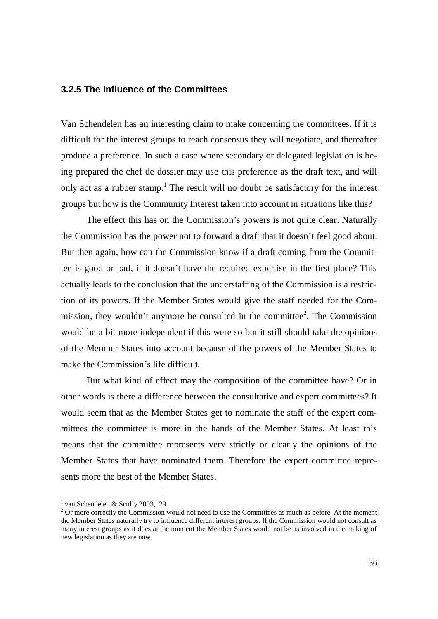#### **3.2.5 The Influence of the Committees**

Van Schendelen has an interesting claim to make concerning the committees. If it is difficult for the interest groups to reach consensus they will negotiate, and thereafter produce a preference. In such a case where secondary or delegated legislation is being prepared the chef de dossier may use this preference as the draft text, and will only act as a rubber stamp.<sup>1</sup> The result will no doubt be satisfactory for the interest groups but how is the Community Interest taken into account in situations like this?

The effect this has on the Commission's powers is not quite clear. Naturally the Commission has the power not to forward a draft that it doesn't feel good about. But then again, how can the Commission know if a draft coming from the Committee is good or bad, if it doesn't have the required expertise in the first place? This actually leads to the conclusion that the understaffing of the Commission is a restriction of its powers. If the Member States would give the staff needed for the Commission, they wouldn't anymore be consulted in the committee<sup>2</sup>. The Commission would be a bit more independent if this were so but it still should take the opinions of the Member States into account because of the powers of the Member States to make the Commission's life difficult.

But what kind of effect may the composition of the committee have? Or in other words is there a difference between the consultative and expert committees? It would seem that as the Member States get to nominate the staff of the expert committees the committee is more in the hands of the Member States. At least this means that the committee represents very strictly or clearly the opinions of the Member States that have nominated them. Therefore the expert committee represents more the best of the Member States.

<sup>&</sup>lt;sup>1</sup> van Schendelen & Scully 2003, 29.

 $2$  Or more correctly the Commission would not need to use the Committees as much as before. At the moment the Member States naturally try to influence different interest groups. If the Commission would not consult as many interest groups as it does at the moment the Member States would not be as involved in the making of new legislation as they are now.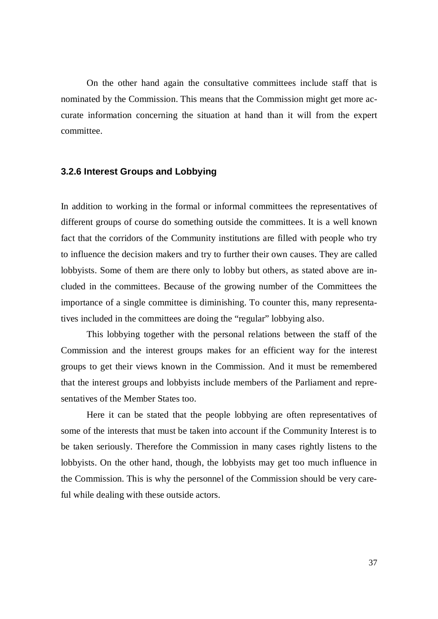On the other hand again the consultative committees include staff that is nominated by the Commission. This means that the Commission might get more accurate information concerning the situation at hand than it will from the expert committee.

#### **3.2.6 Interest Groups and Lobbying**

In addition to working in the formal or informal committees the representatives of different groups of course do something outside the committees. It is a well known fact that the corridors of the Community institutions are filled with people who try to influence the decision makers and try to further their own causes. They are called lobbyists. Some of them are there only to lobby but others, as stated above are included in the committees. Because of the growing number of the Committees the importance of a single committee is diminishing. To counter this, many representatives included in the committees are doing the "regular" lobbying also.

This lobbying together with the personal relations between the staff of the Commission and the interest groups makes for an efficient way for the interest groups to get their views known in the Commission. And it must be remembered that the interest groups and lobbyists include members of the Parliament and representatives of the Member States too.

Here it can be stated that the people lobbying are often representatives of some of the interests that must be taken into account if the Community Interest is to be taken seriously. Therefore the Commission in many cases rightly listens to the lobbyists. On the other hand, though, the lobbyists may get too much influence in the Commission. This is why the personnel of the Commission should be very careful while dealing with these outside actors.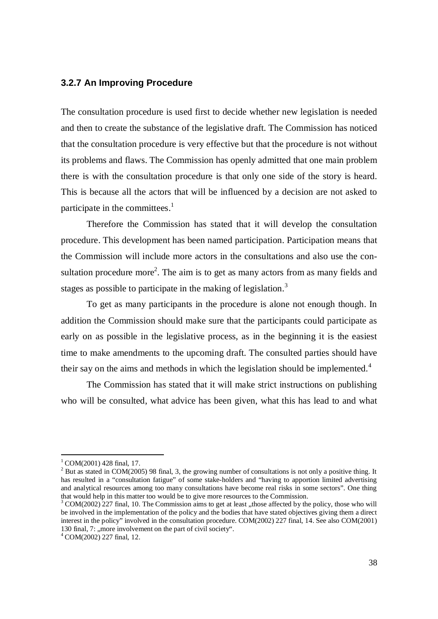#### **3.2.7 An Improving Procedure**

The consultation procedure is used first to decide whether new legislation is needed and then to create the substance of the legislative draft. The Commission has noticed that the consultation procedure is very effective but that the procedure is not without its problems and flaws. The Commission has openly admitted that one main problem there is with the consultation procedure is that only one side of the story is heard. This is because all the actors that will be influenced by a decision are not asked to participate in the committees. $<sup>1</sup>$ </sup>

Therefore the Commission has stated that it will develop the consultation procedure. This development has been named participation. Participation means that the Commission will include more actors in the consultations and also use the consultation procedure more<sup>2</sup>. The aim is to get as many actors from as many fields and stages as possible to participate in the making of legislation.<sup>3</sup>

To get as many participants in the procedure is alone not enough though. In addition the Commission should make sure that the participants could participate as early on as possible in the legislative process, as in the beginning it is the easiest time to make amendments to the upcoming draft. The consulted parties should have their say on the aims and methods in which the legislation should be implemented.<sup>4</sup>

The Commission has stated that it will make strict instructions on publishing who will be consulted, what advice has been given, what this has lead to and what

 $1^1$  COM(2001) 428 final, 17.

 $2^2$  But as stated in COM(2005) 98 final, 3, the growing number of consultations is not only a positive thing. It has resulted in a "consultation fatigue" of some stake-holders and "having to apportion limited advertising and analytical resources among too many consultations have become real risks in some sectors". One thing that would help in this matter too would be to give more resources to the Commission.

 $3$  COM(2002) 227 final, 10. The Commission aims to get at least "those affected by the policy, those who will be involved in the implementation of the policy and the bodies that have stated objectives giving them a direct interest in the policy" involved in the consultation procedure. COM(2002) 227 final, 14. See also COM(2001) 130 final, 7: , more involvement on the part of civil society".

<sup>4</sup> COM(2002) 227 final, 12.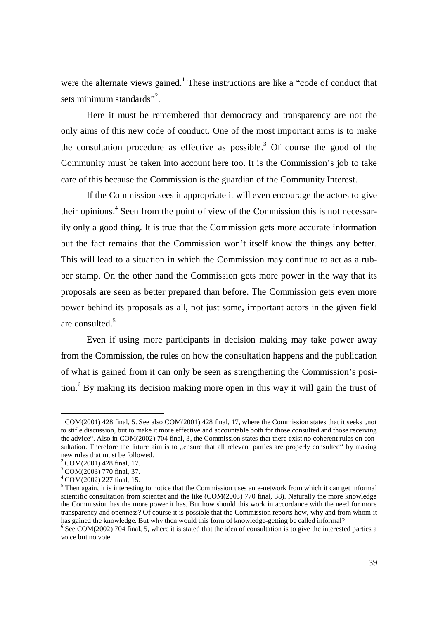were the alternate views gained.<sup>1</sup> These instructions are like a "code of conduct that sets minimum standards"<sup>2</sup>.

Here it must be remembered that democracy and transparency are not the only aims of this new code of conduct. One of the most important aims is to make the consultation procedure as effective as possible.<sup>3</sup> Of course the good of the Community must be taken into account here too. It is the Commission's job to take care of this because the Commission is the guardian of the Community Interest.

If the Commission sees it appropriate it will even encourage the actors to give their opinions.<sup>4</sup> Seen from the point of view of the Commission this is not necessarily only a good thing. It is true that the Commission gets more accurate information but the fact remains that the Commission won't itself know the things any better. This will lead to a situation in which the Commission may continue to act as a rubber stamp. On the other hand the Commission gets more power in the way that its proposals are seen as better prepared than before. The Commission gets even more power behind its proposals as all, not just some, important actors in the given field are consulted.<sup>5</sup>

Even if using more participants in decision making may take power away from the Commission, the rules on how the consultation happens and the publication of what is gained from it can only be seen as strengthening the Commission's position.<sup>6</sup> By making its decision making more open in this way it will gain the trust of

 $1 \text{ COM}(2001)$  428 final, 5. See also COM(2001) 428 final, 17, where the Commission states that it seeks ,,not to stifle discussion, but to make it more effective and accountable both for those consulted and those receiving the advice". Also in COM(2002) 704 final, 3, the Commission states that there exist no coherent rules on consultation. Therefore the future aim is to , ensure that all relevant parties are properly consulted " by making new rules that must be followed.

 $2^2$  COM(2001) 428 final, 17.

<sup>3</sup> COM(2003) 770 final, 37.

<sup>4</sup> COM(2002) 227 final, 15.

<sup>&</sup>lt;sup>5</sup> Then again, it is interesting to notice that the Commission uses an e-network from which it can get informal scientific consultation from scientist and the like (COM(2003) 770 final, 38). Naturally the more knowledge the Commission has the more power it has. But how should this work in accordance with the need for more transparency and openness? Of course it is possible that the Commission reports how, why and from whom it has gained the knowledge. But why then would this form of knowledge-getting be called informal?

<sup>&</sup>lt;sup>6</sup> See COM(2002) 704 final, 5, where it is stated that the idea of consultation is to give the interested parties a voice but no vote.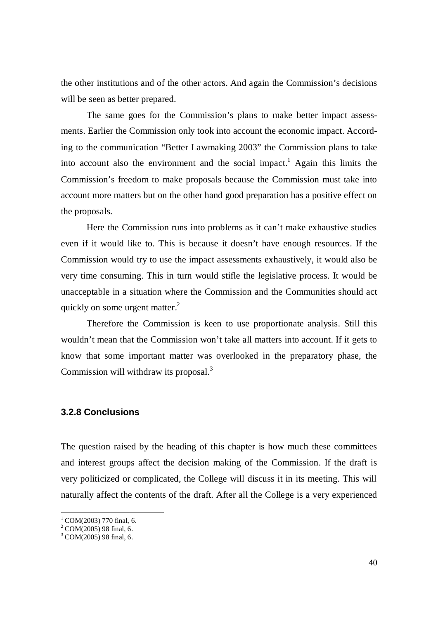the other institutions and of the other actors. And again the Commission's decisions will be seen as better prepared.

The same goes for the Commission's plans to make better impact assessments. Earlier the Commission only took into account the economic impact. According to the communication "Better Lawmaking 2003" the Commission plans to take into account also the environment and the social impact.<sup>1</sup> Again this limits the Commission's freedom to make proposals because the Commission must take into account more matters but on the other hand good preparation has a positive effect on the proposals.

Here the Commission runs into problems as it can't make exhaustive studies even if it would like to. This is because it doesn't have enough resources. If the Commission would try to use the impact assessments exhaustively, it would also be very time consuming. This in turn would stifle the legislative process. It would be unacceptable in a situation where the Commission and the Communities should act quickly on some urgent matter.<sup>2</sup>

Therefore the Commission is keen to use proportionate analysis. Still this wouldn't mean that the Commission won't take all matters into account. If it gets to know that some important matter was overlooked in the preparatory phase, the Commission will withdraw its proposal.<sup>3</sup>

#### **3.2.8 Conclusions**

The question raised by the heading of this chapter is how much these committees and interest groups affect the decision making of the Commission. If the draft is very politicized or complicated, the College will discuss it in its meeting. This will naturally affect the contents of the draft. After all the College is a very experienced

 $1$  COM(2003) 770 final, 6.

 $^{2}$  COM(2005) 98 final, 6.

 $3$  COM(2005) 98 final, 6.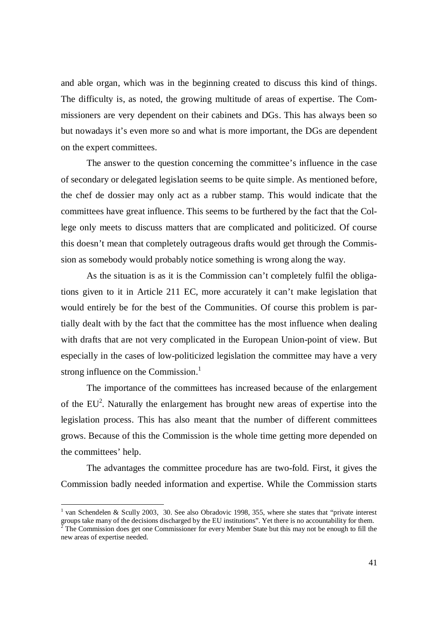and able organ, which was in the beginning created to discuss this kind of things. The difficulty is, as noted, the growing multitude of areas of expertise. The Commissioners are very dependent on their cabinets and DGs. This has always been so but nowadays it's even more so and what is more important, the DGs are dependent on the expert committees.

The answer to the question concerning the committee's influence in the case of secondary or delegated legislation seems to be quite simple. As mentioned before, the chef de dossier may only act as a rubber stamp. This would indicate that the committees have great influence. This seems to be furthered by the fact that the College only meets to discuss matters that are complicated and politicized. Of course this doesn't mean that completely outrageous drafts would get through the Commission as somebody would probably notice something is wrong along the way.

As the situation is as it is the Commission can't completely fulfil the obligations given to it in Article 211 EC, more accurately it can't make legislation that would entirely be for the best of the Communities. Of course this problem is partially dealt with by the fact that the committee has the most influence when dealing with drafts that are not very complicated in the European Union-point of view. But especially in the cases of low-politicized legislation the committee may have a very strong influence on the Commission.<sup>1</sup>

The importance of the committees has increased because of the enlargement of the  $EU^2$ . Naturally the enlargement has brought new areas of expertise into the legislation process. This has also meant that the number of different committees grows. Because of this the Commission is the whole time getting more depended on the committees' help.

The advantages the committee procedure has are two-fold. First, it gives the Commission badly needed information and expertise. While the Commission starts

<sup>1</sup> van Schendelen & Scully 2003, 30. See also Obradovic 1998, 355, where she states that "private interest groups take many of the decisions discharged by the EU institutions". Yet there is no accountability for them.<br><sup>2</sup> The Commission does get and Commissioner for suggest Mamber State by this may not be apough to fill the

The Commission does get one Commissioner for every Member State but this may not be enough to fill the new areas of expertise needed.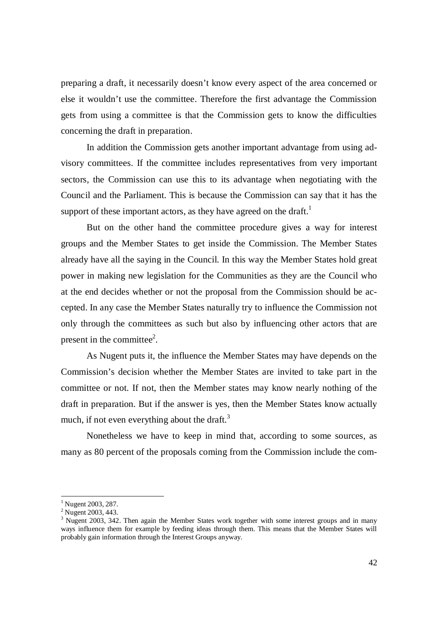preparing a draft, it necessarily doesn't know every aspect of the area concerned or else it wouldn't use the committee. Therefore the first advantage the Commission gets from using a committee is that the Commission gets to know the difficulties concerning the draft in preparation.

In addition the Commission gets another important advantage from using advisory committees. If the committee includes representatives from very important sectors, the Commission can use this to its advantage when negotiating with the Council and the Parliament. This is because the Commission can say that it has the support of these important actors, as they have agreed on the draft.<sup>1</sup>

But on the other hand the committee procedure gives a way for interest groups and the Member States to get inside the Commission. The Member States already have all the saying in the Council. In this way the Member States hold great power in making new legislation for the Communities as they are the Council who at the end decides whether or not the proposal from the Commission should be accepted. In any case the Member States naturally try to influence the Commission not only through the committees as such but also by influencing other actors that are present in the committee<sup>2</sup>.

As Nugent puts it, the influence the Member States may have depends on the Commission's decision whether the Member States are invited to take part in the committee or not. If not, then the Member states may know nearly nothing of the draft in preparation. But if the answer is yes, then the Member States know actually much, if not even everything about the draft. $3$ 

Nonetheless we have to keep in mind that, according to some sources, as many as 80 percent of the proposals coming from the Commission include the com-

<sup>&</sup>lt;sup>1</sup> Nugent 2003, 287.

<sup>&</sup>lt;sup>2</sup> Nugent 2003, 443.

 $3$  Nugent 2003, 342. Then again the Member States work together with some interest groups and in many ways influence them for example by feeding ideas through them. This means that the Member States will probably gain information through the Interest Groups anyway.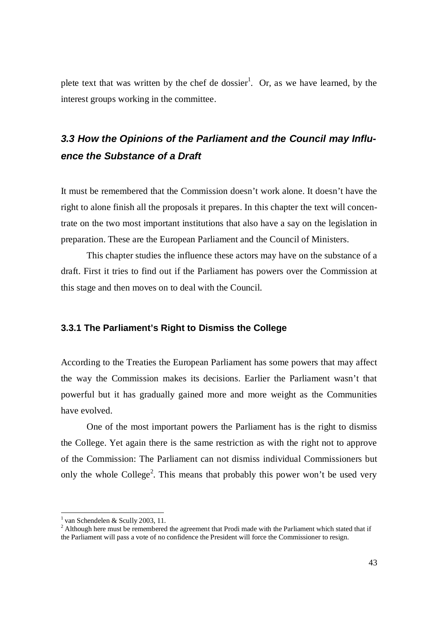plete text that was written by the chef de dossier<sup>1</sup>. Or, as we have learned, by the interest groups working in the committee.

# *3.3 How the Opinions of the Parliament and the Council may Influence the Substance of a Draft*

It must be remembered that the Commission doesn't work alone. It doesn't have the right to alone finish all the proposals it prepares. In this chapter the text will concentrate on the two most important institutions that also have a say on the legislation in preparation. These are the European Parliament and the Council of Ministers.

This chapter studies the influence these actors may have on the substance of a draft. First it tries to find out if the Parliament has powers over the Commission at this stage and then moves on to deal with the Council.

#### **3.3.1 The Parliament's Right to Dismiss the College**

According to the Treaties the European Parliament has some powers that may affect the way the Commission makes its decisions. Earlier the Parliament wasn't that powerful but it has gradually gained more and more weight as the Communities have evolved.

One of the most important powers the Parliament has is the right to dismiss the College. Yet again there is the same restriction as with the right not to approve of the Commission: The Parliament can not dismiss individual Commissioners but only the whole College<sup>2</sup>. This means that probably this power won't be used very

<sup>&</sup>lt;sup>1</sup> van Schendelen & Scully 2003, 11.

 $2$  Although here must be remembered the agreement that Prodi made with the Parliament which stated that if the Parliament will pass a vote of no confidence the President will force the Commissioner to resign.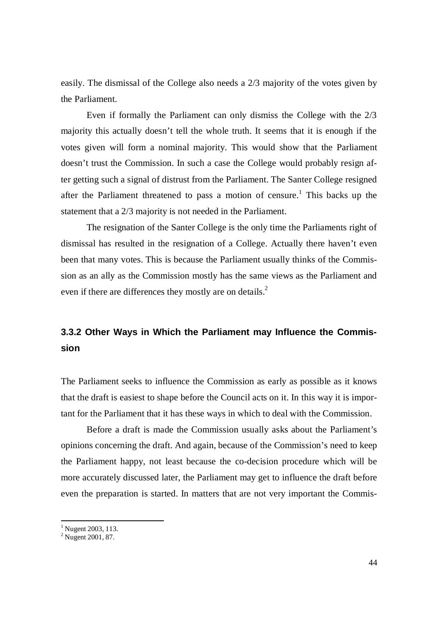easily. The dismissal of the College also needs a 2/3 majority of the votes given by the Parliament.

Even if formally the Parliament can only dismiss the College with the 2/3 majority this actually doesn't tell the whole truth. It seems that it is enough if the votes given will form a nominal majority. This would show that the Parliament doesn't trust the Commission. In such a case the College would probably resign after getting such a signal of distrust from the Parliament. The Santer College resigned after the Parliament threatened to pass a motion of censure.<sup>1</sup> This backs up the statement that a 2/3 majority is not needed in the Parliament.

The resignation of the Santer College is the only time the Parliaments right of dismissal has resulted in the resignation of a College. Actually there haven't even been that many votes. This is because the Parliament usually thinks of the Commission as an ally as the Commission mostly has the same views as the Parliament and even if there are differences they mostly are on details.<sup>2</sup>

## **3.3.2 Other Ways in Which the Parliament may Influence the Commission**

The Parliament seeks to influence the Commission as early as possible as it knows that the draft is easiest to shape before the Council acts on it. In this way it is important for the Parliament that it has these ways in which to deal with the Commission.

Before a draft is made the Commission usually asks about the Parliament's opinions concerning the draft. And again, because of the Commission's need to keep the Parliament happy, not least because the co-decision procedure which will be more accurately discussed later, the Parliament may get to influence the draft before even the preparation is started. In matters that are not very important the Commis-

<sup>&</sup>lt;sup>1</sup> Nugent 2003, 113.

<sup>&</sup>lt;sup>2</sup> Nugent 2001, 87.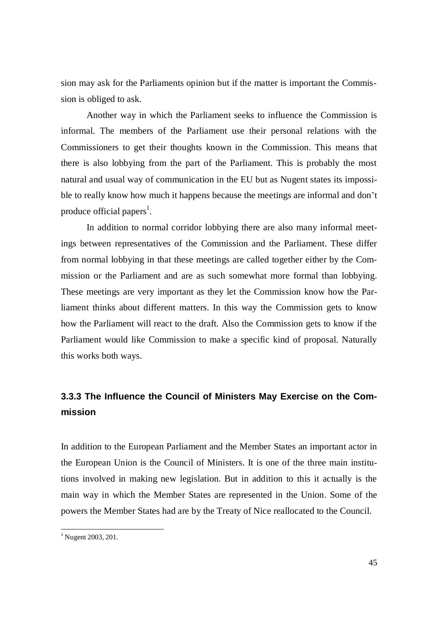sion may ask for the Parliaments opinion but if the matter is important the Commission is obliged to ask.

Another way in which the Parliament seeks to influence the Commission is informal. The members of the Parliament use their personal relations with the Commissioners to get their thoughts known in the Commission. This means that there is also lobbying from the part of the Parliament. This is probably the most natural and usual way of communication in the EU but as Nugent states its impossible to really know how much it happens because the meetings are informal and don't produce official papers<sup>1</sup>.

In addition to normal corridor lobbying there are also many informal meetings between representatives of the Commission and the Parliament. These differ from normal lobbying in that these meetings are called together either by the Commission or the Parliament and are as such somewhat more formal than lobbying. These meetings are very important as they let the Commission know how the Parliament thinks about different matters. In this way the Commission gets to know how the Parliament will react to the draft. Also the Commission gets to know if the Parliament would like Commission to make a specific kind of proposal. Naturally this works both ways.

## **3.3.3 The Influence the Council of Ministers May Exercise on the Commission**

In addition to the European Parliament and the Member States an important actor in the European Union is the Council of Ministers. It is one of the three main institutions involved in making new legislation. But in addition to this it actually is the main way in which the Member States are represented in the Union. Some of the powers the Member States had are by the Treaty of Nice reallocated to the Council.

<sup>&</sup>lt;sup>1</sup> Nugent 2003, 201.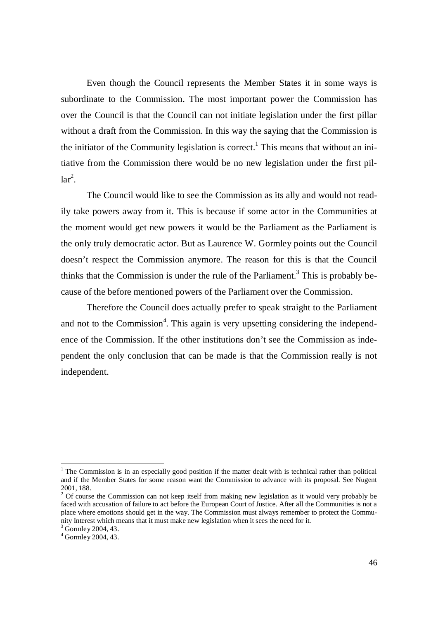Even though the Council represents the Member States it in some ways is subordinate to the Commission. The most important power the Commission has over the Council is that the Council can not initiate legislation under the first pillar without a draft from the Commission. In this way the saying that the Commission is the initiator of the Community legislation is correct.<sup>1</sup> This means that without an initiative from the Commission there would be no new legislation under the first pil $lar<sup>2</sup>$ .

The Council would like to see the Commission as its ally and would not readily take powers away from it. This is because if some actor in the Communities at the moment would get new powers it would be the Parliament as the Parliament is the only truly democratic actor. But as Laurence W. Gormley points out the Council doesn't respect the Commission anymore. The reason for this is that the Council thinks that the Commission is under the rule of the Parliament.<sup>3</sup> This is probably because of the before mentioned powers of the Parliament over the Commission.

Therefore the Council does actually prefer to speak straight to the Parliament and not to the Commission<sup>4</sup>. This again is very upsetting considering the independence of the Commission. If the other institutions don't see the Commission as independent the only conclusion that can be made is that the Commission really is not independent.

<sup>&</sup>lt;sup>1</sup> The Commission is in an especially good position if the matter dealt with is technical rather than political and if the Member States for some reason want the Commission to advance with its proposal. See Nugent 2001, 188.

 $2^{2}$  Of course the Commission can not keep itself from making new legislation as it would very probably be faced with accusation of failure to act before the European Court of Justice. After all the Communities is not a place where emotions should get in the way. The Commission must always remember to protect the Community Interest which means that it must make new legislation when it sees the need for it.

<sup>&</sup>lt;sup>3</sup> Gormley 2004, 43.

<sup>4</sup> Gormley 2004, 43.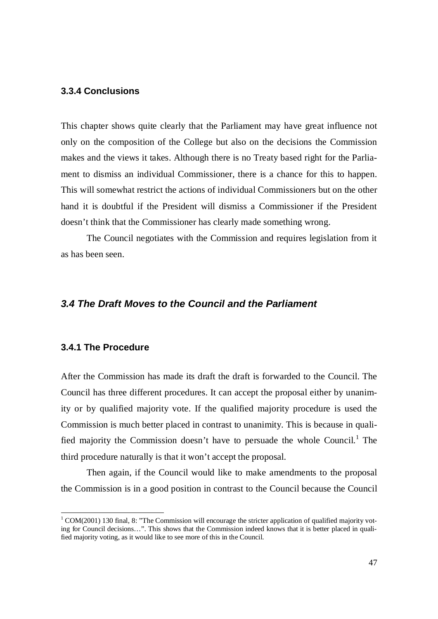## **3.3.4 Conclusions**

This chapter shows quite clearly that the Parliament may have great influence not only on the composition of the College but also on the decisions the Commission makes and the views it takes. Although there is no Treaty based right for the Parliament to dismiss an individual Commissioner, there is a chance for this to happen. This will somewhat restrict the actions of individual Commissioners but on the other hand it is doubtful if the President will dismiss a Commissioner if the President doesn't think that the Commissioner has clearly made something wrong.

The Council negotiates with the Commission and requires legislation from it as has been seen.

## *3.4 The Draft Moves to the Council and the Parliament*

#### **3.4.1 The Procedure**

After the Commission has made its draft the draft is forwarded to the Council. The Council has three different procedures. It can accept the proposal either by unanimity or by qualified majority vote. If the qualified majority procedure is used the Commission is much better placed in contrast to unanimity. This is because in qualified majority the Commission doesn't have to persuade the whole Council.<sup>1</sup> The third procedure naturally is that it won't accept the proposal.

Then again, if the Council would like to make amendments to the proposal the Commission is in a good position in contrast to the Council because the Council

<sup>&</sup>lt;sup>1</sup> COM(2001) 130 final, 8: "The Commission will encourage the stricter application of qualified majority voting for Council decisions… ". This shows that the Commission indeed knows that it is better placed in qualified majority voting, as it would like to see more of this in the Council.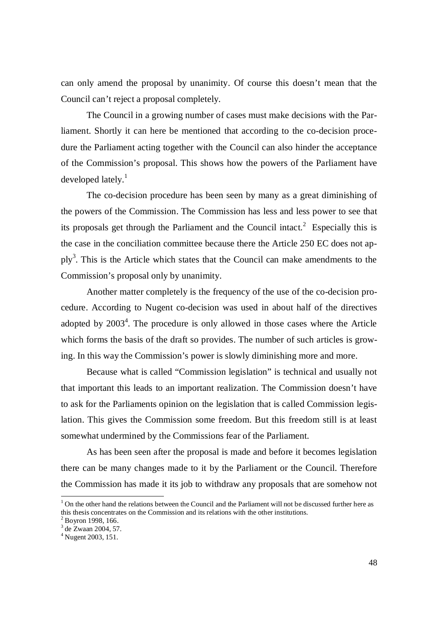can only amend the proposal by unanimity. Of course this doesn't mean that the Council can't reject a proposal completely.

The Council in a growing number of cases must make decisions with the Parliament. Shortly it can here be mentioned that according to the co-decision procedure the Parliament acting together with the Council can also hinder the acceptance of the Commission's proposal. This shows how the powers of the Parliament have developed lately. $\frac{1}{1}$ 

The co-decision procedure has been seen by many as a great diminishing of the powers of the Commission. The Commission has less and less power to see that its proposals get through the Parliament and the Council intact.<sup>2</sup> Especially this is the case in the conciliation committee because there the Article 250 EC does not apply<sup>3</sup>. This is the Article which states that the Council can make amendments to the Commission's proposal only by unanimity.

Another matter completely is the frequency of the use of the co-decision procedure. According to Nugent co-decision was used in about half of the directives adopted by  $2003<sup>4</sup>$ . The procedure is only allowed in those cases where the Article which forms the basis of the draft so provides. The number of such articles is growing. In this way the Commission's power is slowly diminishing more and more.

Because what is called "Commission legislation" is technical and usually not that important this leads to an important realization. The Commission doesn't have to ask for the Parliaments opinion on the legislation that is called Commission legislation. This gives the Commission some freedom. But this freedom still is at least somewhat undermined by the Commissions fear of the Parliament.

As has been seen after the proposal is made and before it becomes legislation there can be many changes made to it by the Parliament or the Council. Therefore the Commission has made it its job to withdraw any proposals that are somehow not

<sup>&</sup>lt;sup>1</sup> On the other hand the relations between the Council and the Parliament will not be discussed further here as this thesis concentrates on the Commission and its relations with the other institutions.

 $2$  Boyron 1998, 166.

<sup>3</sup> de Zwaan 2004, 57.

<sup>4</sup> Nugent 2003, 151.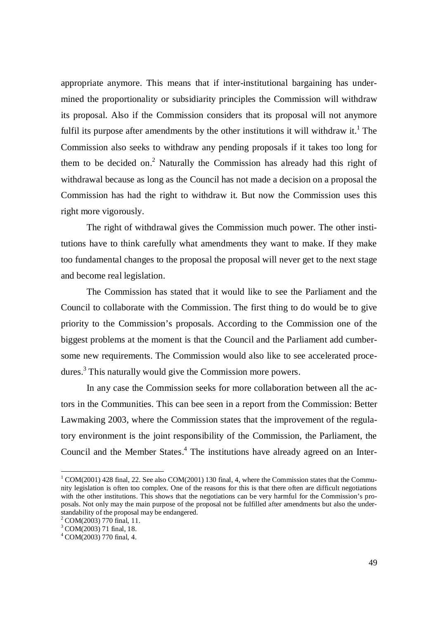appropriate anymore. This means that if inter-institutional bargaining has undermined the proportionality or subsidiarity principles the Commission will withdraw its proposal. Also if the Commission considers that its proposal will not anymore fulfil its purpose after amendments by the other institutions it will withdraw it.<sup>1</sup> The Commission also seeks to withdraw any pending proposals if it takes too long for them to be decided on.<sup>2</sup> Naturally the Commission has already had this right of withdrawal because as long as the Council has not made a decision on a proposal the Commission has had the right to withdraw it. But now the Commission uses this right more vigorously.

The right of withdrawal gives the Commission much power. The other institutions have to think carefully what amendments they want to make. If they make too fundamental changes to the proposal the proposal will never get to the next stage and become real legislation.

The Commission has stated that it would like to see the Parliament and the Council to collaborate with the Commission. The first thing to do would be to give priority to the Commission's proposals. According to the Commission one of the biggest problems at the moment is that the Council and the Parliament add cumbersome new requirements. The Commission would also like to see accelerated procedures.<sup>3</sup> This naturally would give the Commission more powers.

In any case the Commission seeks for more collaboration between all the actors in the Communities. This can bee seen in a report from the Commission: Better Lawmaking 2003, where the Commission states that the improvement of the regulatory environment is the joint responsibility of the Commission, the Parliament, the Council and the Member States. $4$  The institutions have already agreed on an Inter-

<sup>&</sup>lt;sup>1</sup> COM(2001) 428 final, 22. See also COM(2001) 130 final, 4, where the Commission states that the Community legislation is often too complex. One of the reasons for this is that there often are difficult negotiations with the other institutions. This shows that the negotiations can be very harmful for the Commission's proposals. Not only may the main purpose of the proposal not be fulfilled after amendments but also the understandability of the proposal may be endangered.

<sup>2</sup> COM(2003) 770 final, 11.

<sup>&</sup>lt;sup>3</sup> COM(2003) 71 final, 18.

<sup>4</sup> COM(2003) 770 final, 4.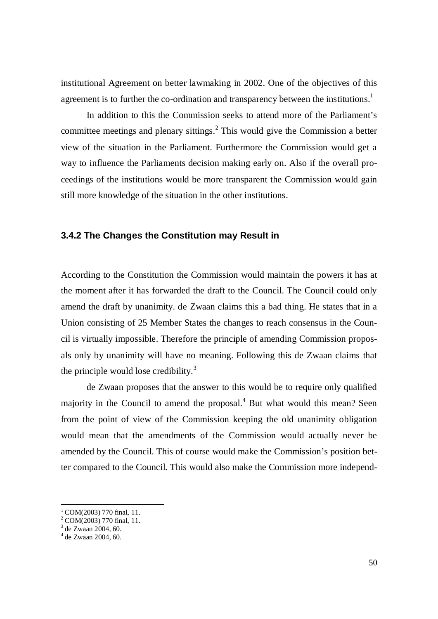institutional Agreement on better lawmaking in 2002. One of the objectives of this agreement is to further the co-ordination and transparency between the institutions.<sup>1</sup>

In addition to this the Commission seeks to attend more of the Parliament's committee meetings and plenary sittings. $<sup>2</sup>$  This would give the Commission a better</sup> view of the situation in the Parliament. Furthermore the Commission would get a way to influence the Parliaments decision making early on. Also if the overall proceedings of the institutions would be more transparent the Commission would gain still more knowledge of the situation in the other institutions.

#### **3.4.2 The Changes the Constitution may Result in**

According to the Constitution the Commission would maintain the powers it has at the moment after it has forwarded the draft to the Council. The Council could only amend the draft by unanimity. de Zwaan claims this a bad thing. He states that in a Union consisting of 25 Member States the changes to reach consensus in the Council is virtually impossible. Therefore the principle of amending Commission proposals only by unanimity will have no meaning. Following this de Zwaan claims that the principle would lose credibility. $3$ 

de Zwaan proposes that the answer to this would be to require only qualified majority in the Council to amend the proposal.<sup>4</sup> But what would this mean? Seen from the point of view of the Commission keeping the old unanimity obligation would mean that the amendments of the Commission would actually never be amended by the Council. This of course would make the Commission's position better compared to the Council. This would also make the Commission more independ-

 $1^1$  COM(2003) 770 final, 11.

 $2^2$  COM(2003) 770 final, 11.

<sup>3</sup> de Zwaan 2004, 60.

<sup>4</sup> de Zwaan 2004, 60.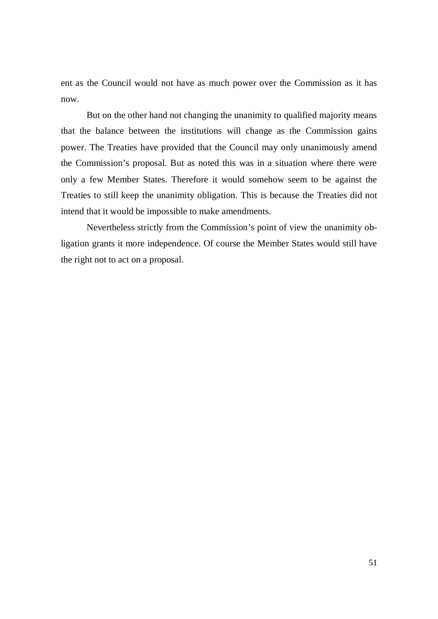ent as the Council would not have as much power over the Commission as it has now.

But on the other hand not changing the unanimity to qualified majority means that the balance between the institutions will change as the Commission gains power. The Treaties have provided that the Council may only unanimously amend the Commission's proposal. But as noted this was in a situation where there were only a few Member States. Therefore it would somehow seem to be against the Treaties to still keep the unanimity obligation. This is because the Treaties did not intend that it would be impossible to make amendments.

Nevertheless strictly from the Commission's point of view the unanimity obligation grants it more independence. Of course the Member States would still have the right not to act on a proposal.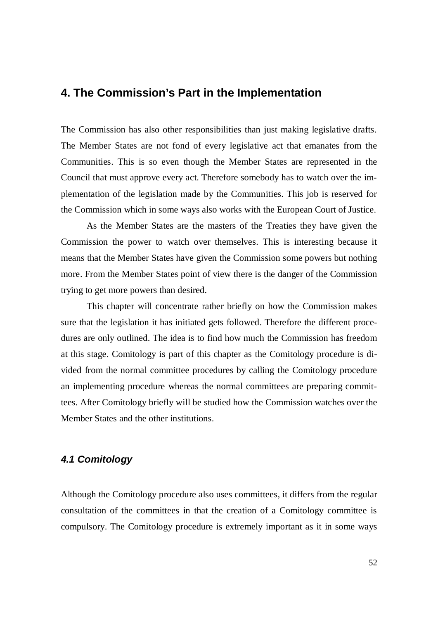## **4. The Commission's Part in the Implementation**

The Commission has also other responsibilities than just making legislative drafts. The Member States are not fond of every legislative act that emanates from the Communities. This is so even though the Member States are represented in the Council that must approve every act. Therefore somebody has to watch over the implementation of the legislation made by the Communities. This job is reserved for the Commission which in some ways also works with the European Court of Justice.

As the Member States are the masters of the Treaties they have given the Commission the power to watch over themselves. This is interesting because it means that the Member States have given the Commission some powers but nothing more. From the Member States point of view there is the danger of the Commission trying to get more powers than desired.

This chapter will concentrate rather briefly on how the Commission makes sure that the legislation it has initiated gets followed. Therefore the different procedures are only outlined. The idea is to find how much the Commission has freedom at this stage. Comitology is part of this chapter as the Comitology procedure is divided from the normal committee procedures by calling the Comitology procedure an implementing procedure whereas the normal committees are preparing committees. After Comitology briefly will be studied how the Commission watches over the Member States and the other institutions.

## *4.1 Comitology*

Although the Comitology procedure also uses committees, it differs from the regular consultation of the committees in that the creation of a Comitology committee is compulsory. The Comitology procedure is extremely important as it in some ways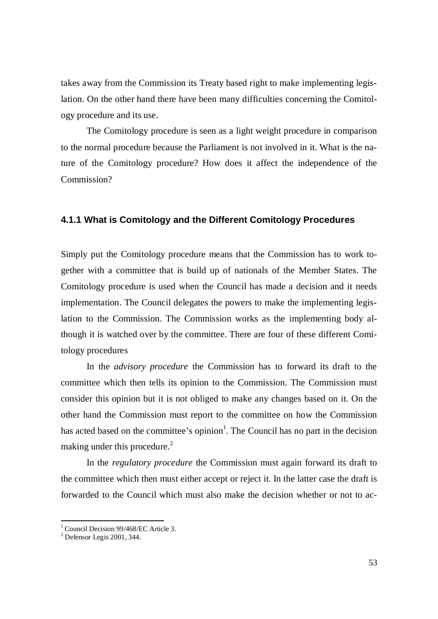takes away from the Commission its Treaty based right to make implementing legislation. On the other hand there have been many difficulties concerning the Comitology procedure and its use.

The Comitology procedure is seen as a light weight procedure in comparison to the normal procedure because the Parliament is not involved in it. What is the nature of the Comitology procedure? How does it affect the independence of the Commission?

#### **4.1.1 What is Comitology and the Different Comitology Procedures**

Simply put the Comitology procedure means that the Commission has to work together with a committee that is build up of nationals of the Member States. The Comitology procedure is used when the Council has made a decision and it needs implementation. The Council delegates the powers to make the implementing legislation to the Commission. The Commission works as the implementing body although it is watched over by the committee. There are four of these different Comitology procedures

In the *advisory procedure* the Commission has to forward its draft to the committee which then tells its opinion to the Commission. The Commission must consider this opinion but it is not obliged to make any changes based on it. On the other hand the Commission must report to the committee on how the Commission has acted based on the committee's opinion<sup>1</sup>. The Council has no part in the decision making under this procedure.<sup>2</sup>

In the *regulatory procedure* the Commission must again forward its draft to the committee which then must either accept or reject it. In the latter case the draft is forwarded to the Council which must also make the decision whether or not to ac-

<sup>&</sup>lt;sup>1</sup> Council Decision 99/468/EC Article 3.

 $2$  Defensor Legis 2001, 344.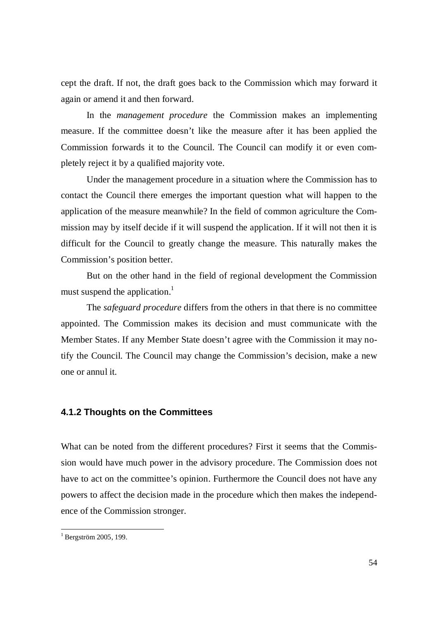cept the draft. If not, the draft goes back to the Commission which may forward it again or amend it and then forward.

In the *management procedure* the Commission makes an implementing measure. If the committee doesn't like the measure after it has been applied the Commission forwards it to the Council. The Council can modify it or even completely reject it by a qualified majority vote.

Under the management procedure in a situation where the Commission has to contact the Council there emerges the important question what will happen to the application of the measure meanwhile? In the field of common agriculture the Commission may by itself decide if it will suspend the application. If it will not then it is difficult for the Council to greatly change the measure. This naturally makes the Commission's position better.

But on the other hand in the field of regional development the Commission must suspend the application.<sup>1</sup>

The *safeguard procedure* differs from the others in that there is no committee appointed. The Commission makes its decision and must communicate with the Member States. If any Member State doesn't agree with the Commission it may notify the Council. The Council may change the Commission's decision, make a new one or annul it.

#### **4.1.2 Thoughts on the Committees**

What can be noted from the different procedures? First it seems that the Commission would have much power in the advisory procedure. The Commission does not have to act on the committee's opinion. Furthermore the Council does not have any powers to affect the decision made in the procedure which then makes the independence of the Commission stronger.

<sup>&</sup>lt;sup>1</sup> Bergström 2005, 199.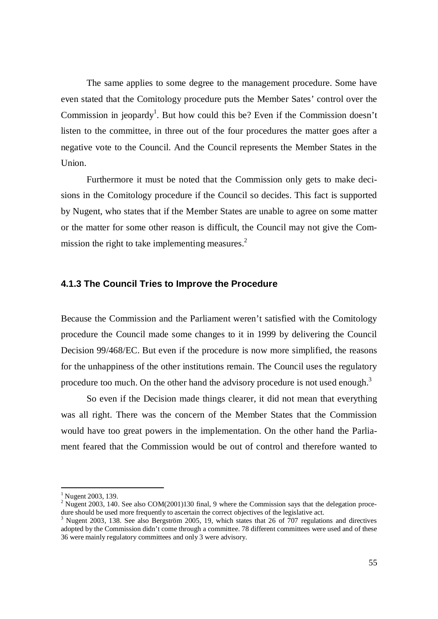The same applies to some degree to the management procedure. Some have even stated that the Comitology procedure puts the Member Sates' control over the Commission in jeopardy<sup>1</sup>. But how could this be? Even if the Commission doesn't listen to the committee, in three out of the four procedures the matter goes after a negative vote to the Council. And the Council represents the Member States in the Union.

Furthermore it must be noted that the Commission only gets to make decisions in the Comitology procedure if the Council so decides. This fact is supported by Nugent, who states that if the Member States are unable to agree on some matter or the matter for some other reason is difficult, the Council may not give the Commission the right to take implementing measures. $<sup>2</sup>$ </sup>

#### **4.1.3 The Council Tries to Improve the Procedure**

Because the Commission and the Parliament weren't satisfied with the Comitology procedure the Council made some changes to it in 1999 by delivering the Council Decision 99/468/EC. But even if the procedure is now more simplified, the reasons for the unhappiness of the other institutions remain. The Council uses the regulatory procedure too much. On the other hand the advisory procedure is not used enough.<sup>3</sup>

So even if the Decision made things clearer, it did not mean that everything was all right. There was the concern of the Member States that the Commission would have too great powers in the implementation. On the other hand the Parliament feared that the Commission would be out of control and therefore wanted to

<sup>&</sup>lt;sup>1</sup> Nugent 2003, 139.

<sup>&</sup>lt;sup>2</sup> Nugent 2003, 140. See also COM(2001)130 final, 9 where the Commission says that the delegation procedure should be used more frequently to ascertain the correct objectives of the legislative act.

<sup>3</sup> Nugent 2003, 138. See also Bergström 2005, 19, which states that 26 of 707 regulations and directives adopted by the Commission didn't come through a committee. 78 different committees were used and of these 36 were mainly regulatory committees and only 3 were advisory.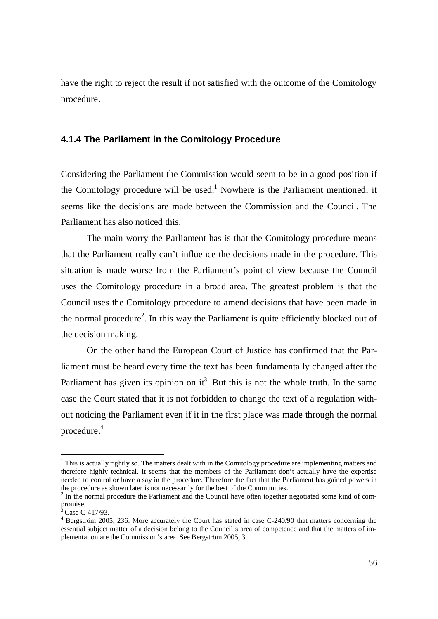have the right to reject the result if not satisfied with the outcome of the Comitology procedure.

#### **4.1.4 The Parliament in the Comitology Procedure**

Considering the Parliament the Commission would seem to be in a good position if the Comitology procedure will be used.<sup>1</sup> Nowhere is the Parliament mentioned, it seems like the decisions are made between the Commission and the Council. The Parliament has also noticed this.

The main worry the Parliament has is that the Comitology procedure means that the Parliament really can't influence the decisions made in the procedure. This situation is made worse from the Parliament's point of view because the Council uses the Comitology procedure in a broad area. The greatest problem is that the Council uses the Comitology procedure to amend decisions that have been made in the normal procedure<sup>2</sup>. In this way the Parliament is quite efficiently blocked out of the decision making.

On the other hand the European Court of Justice has confirmed that the Parliament must be heard every time the text has been fundamentally changed after the Parliament has given its opinion on  $it^3$ . But this is not the whole truth. In the same case the Court stated that it is not forbidden to change the text of a regulation without noticing the Parliament even if it in the first place was made through the normal procedure.<sup>4</sup>

 $1$  This is actually rightly so. The matters dealt with in the Comitology procedure are implementing matters and therefore highly technical. It seems that the members of the Parliament don't actually have the expertise needed to control or have a say in the procedure. Therefore the fact that the Parliament has gained powers in the procedure as shown later is not necessarily for the best of the Communities.

 $2 \text{ In the normal procedure the Parliament and the Council have often together negotiated some kind of com-}$ promise.<br><sup>3</sup> Caso C

Case C-417/93.

<sup>&</sup>lt;sup>4</sup> Bergström 2005, 236. More accurately the Court has stated in case C-240/90 that matters concerning the essential subject matter of a decision belong to the Council's area of competence and that the matters of implementation are the Commission's area. See Bergström 2005, 3.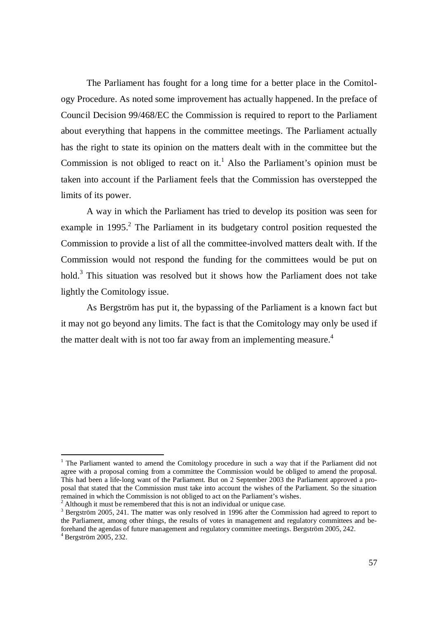The Parliament has fought for a long time for a better place in the Comitology Procedure. As noted some improvement has actually happened. In the preface of Council Decision 99/468/EC the Commission is required to report to the Parliament about everything that happens in the committee meetings. The Parliament actually has the right to state its opinion on the matters dealt with in the committee but the Commission is not obliged to react on it.<sup>1</sup> Also the Parliament's opinion must be taken into account if the Parliament feels that the Commission has overstepped the limits of its power.

A way in which the Parliament has tried to develop its position was seen for example in  $1995$ .<sup>2</sup> The Parliament in its budgetary control position requested the Commission to provide a list of all the committee-involved matters dealt with. If the Commission would not respond the funding for the committees would be put on hold.<sup>3</sup> This situation was resolved but it shows how the Parliament does not take lightly the Comitology issue.

As Bergström has put it, the bypassing of the Parliament is a known fact but it may not go beyond any limits. The fact is that the Comitology may only be used if the matter dealt with is not too far away from an implementing measure.<sup>4</sup>

<sup>&</sup>lt;sup>1</sup> The Parliament wanted to amend the Comitology procedure in such a way that if the Parliament did not agree with a proposal coming from a committee the Commission would be obliged to amend the proposal. This had been a life-long want of the Parliament. But on 2 September 2003 the Parliament approved a proposal that stated that the Commission must take into account the wishes of the Parliament. So the situation remained in which the Commission is not obliged to act on the Parliament's wishes. 2

Although it must be remembered that this is not an individual or unique case.

 $3$  Bergström 2005, 241. The matter was only resolved in 1996 after the Commission had agreed to report to the Parliament, among other things, the results of votes in management and regulatory committees and beforehand the agendas of future management and regulatory committee meetings. Bergström 2005, 242. 4 Bergström 2005, 232.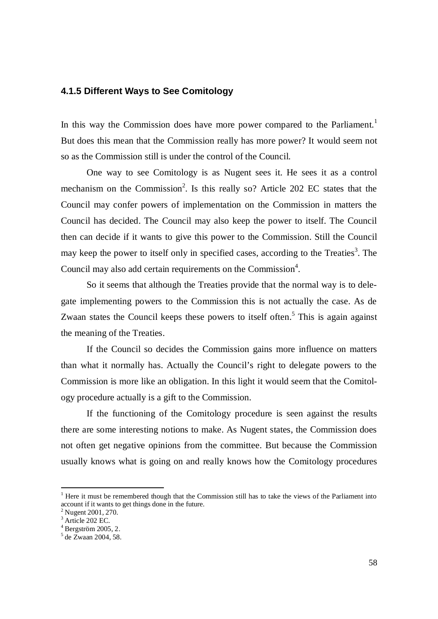#### **4.1.5 Different Ways to See Comitology**

In this way the Commission does have more power compared to the Parliament.<sup>1</sup> But does this mean that the Commission really has more power? It would seem not so as the Commission still is under the control of the Council.

One way to see Comitology is as Nugent sees it. He sees it as a control mechanism on the Commission<sup>2</sup>. Is this really so? Article 202 EC states that the Council may confer powers of implementation on the Commission in matters the Council has decided. The Council may also keep the power to itself. The Council then can decide if it wants to give this power to the Commission. Still the Council may keep the power to itself only in specified cases, according to the Treaties<sup>3</sup>. The Council may also add certain requirements on the Commission $4$ .

So it seems that although the Treaties provide that the normal way is to delegate implementing powers to the Commission this is not actually the case. As de Zwaan states the Council keeps these powers to itself often.<sup>5</sup> This is again against the meaning of the Treaties.

If the Council so decides the Commission gains more influence on matters than what it normally has. Actually the Council's right to delegate powers to the Commission is more like an obligation. In this light it would seem that the Comitology procedure actually is a gift to the Commission.

If the functioning of the Comitology procedure is seen against the results there are some interesting notions to make. As Nugent states, the Commission does not often get negative opinions from the committee. But because the Commission usually knows what is going on and really knows how the Comitology procedures

<sup>&</sup>lt;sup>1</sup> Here it must be remembered though that the Commission still has to take the views of the Parliament into account if it wants to get things done in the future.

<sup>&</sup>lt;sup>2</sup> Nugent 2001, 270.

<sup>&</sup>lt;sup>3</sup> Article 202 EC.

<sup>4</sup> Bergström 2005, 2.

<sup>5</sup> de Zwaan 2004, 58.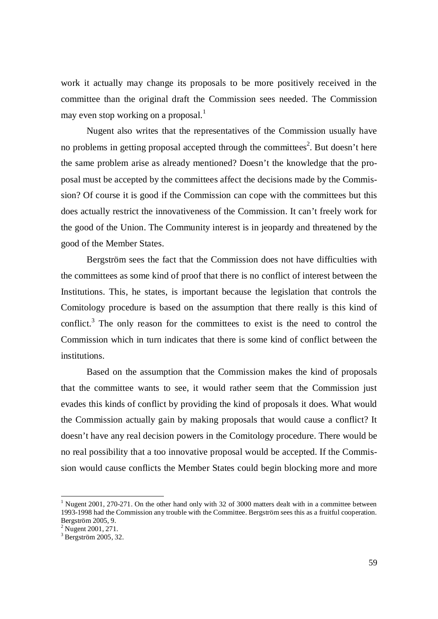work it actually may change its proposals to be more positively received in the committee than the original draft the Commission sees needed. The Commission may even stop working on a proposal.<sup>1</sup>

Nugent also writes that the representatives of the Commission usually have no problems in getting proposal accepted through the committees<sup>2</sup>. But doesn't here the same problem arise as already mentioned? Doesn't the knowledge that the proposal must be accepted by the committees affect the decisions made by the Commission? Of course it is good if the Commission can cope with the committees but this does actually restrict the innovativeness of the Commission. It can't freely work for the good of the Union. The Community interest is in jeopardy and threatened by the good of the Member States.

Bergström sees the fact that the Commission does not have difficulties with the committees as some kind of proof that there is no conflict of interest between the Institutions. This, he states, is important because the legislation that controls the Comitology procedure is based on the assumption that there really is this kind of conflict.<sup>3</sup> The only reason for the committees to exist is the need to control the Commission which in turn indicates that there is some kind of conflict between the institutions.

Based on the assumption that the Commission makes the kind of proposals that the committee wants to see, it would rather seem that the Commission just evades this kinds of conflict by providing the kind of proposals it does. What would the Commission actually gain by making proposals that would cause a conflict? It doesn't have any real decision powers in the Comitology procedure. There would be no real possibility that a too innovative proposal would be accepted. If the Commission would cause conflicts the Member States could begin blocking more and more

<sup>&</sup>lt;sup>1</sup> Nugent 2001, 270-271. On the other hand only with 32 of 3000 matters dealt with in a committee between 1993-1998 had the Commission any trouble with the Committee. Bergström sees this as a fruitful cooperation. Bergström 2005, 9.

<sup>&</sup>lt;sup>2</sup> Nugent 2001, 271.

<sup>3</sup> Bergström 2005, 32.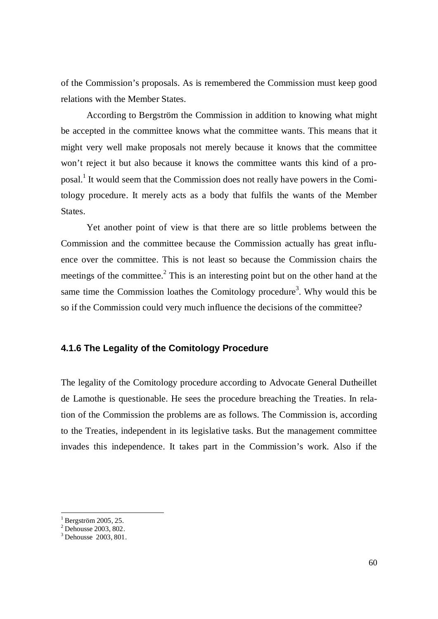of the Commission's proposals. As is remembered the Commission must keep good relations with the Member States.

According to Bergström the Commission in addition to knowing what might be accepted in the committee knows what the committee wants. This means that it might very well make proposals not merely because it knows that the committee won't reject it but also because it knows the committee wants this kind of a proposal.<sup>1</sup> It would seem that the Commission does not really have powers in the Comitology procedure. It merely acts as a body that fulfils the wants of the Member States.

Yet another point of view is that there are so little problems between the Commission and the committee because the Commission actually has great influence over the committee. This is not least so because the Commission chairs the meetings of the committee. $2$  This is an interesting point but on the other hand at the same time the Commission loathes the Comitology procedure<sup>3</sup>. Why would this be so if the Commission could very much influence the decisions of the committee?

#### **4.1.6 The Legality of the Comitology Procedure**

The legality of the Comitology procedure according to Advocate General Dutheillet de Lamothe is questionable. He sees the procedure breaching the Treaties. In relation of the Commission the problems are as follows. The Commission is, according to the Treaties, independent in its legislative tasks. But the management committee invades this independence. It takes part in the Commission's work. Also if the

<sup>1</sup> Bergström 2005, 25.

<sup>2</sup> Dehousse 2003, 802.

<sup>&</sup>lt;sup>3</sup> Dehousse 2003, 801.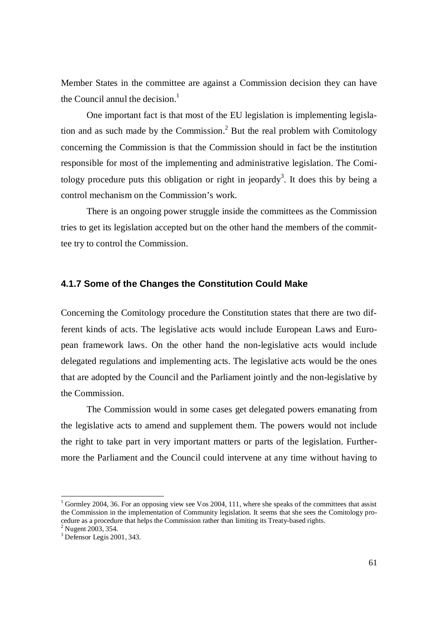Member States in the committee are against a Commission decision they can have the Council annul the decision. $<sup>1</sup>$ </sup>

One important fact is that most of the EU legislation is implementing legislation and as such made by the Commission.<sup>2</sup> But the real problem with Comitology concerning the Commission is that the Commission should in fact be the institution responsible for most of the implementing and administrative legislation. The Comitology procedure puts this obligation or right in jeopardy<sup>3</sup>. It does this by being a control mechanism on the Commission's work.

There is an ongoing power struggle inside the committees as the Commission tries to get its legislation accepted but on the other hand the members of the committee try to control the Commission.

#### **4.1.7 Some of the Changes the Constitution Could Make**

Concerning the Comitology procedure the Constitution states that there are two different kinds of acts. The legislative acts would include European Laws and European framework laws. On the other hand the non-legislative acts would include delegated regulations and implementing acts. The legislative acts would be the ones that are adopted by the Council and the Parliament jointly and the non-legislative by the Commission.

The Commission would in some cases get delegated powers emanating from the legislative acts to amend and supplement them. The powers would not include the right to take part in very important matters or parts of the legislation. Furthermore the Parliament and the Council could intervene at any time without having to

<sup>&</sup>lt;sup>1</sup> Gormley 2004, 36. For an opposing view see Vos 2004, 111, where she speaks of the committees that assist the Commission in the implementation of Community legislation. It seems that she sees the Comitology procedure as a procedure that helps the Commission rather than limiting its Treaty-based rights.

 $^{2}$  Nugent 2003, 354.

<sup>3</sup> Defensor Legis 2001, 343.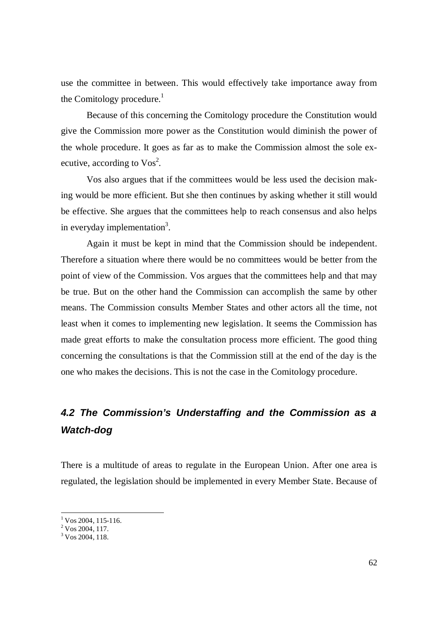use the committee in between. This would effectively take importance away from the Comitology procedure.<sup>1</sup>

Because of this concerning the Comitology procedure the Constitution would give the Commission more power as the Constitution would diminish the power of the whole procedure. It goes as far as to make the Commission almost the sole executive, according to  $\text{Vos}^2$ .

Vos also argues that if the committees would be less used the decision making would be more efficient. But she then continues by asking whether it still would be effective. She argues that the committees help to reach consensus and also helps in everyday implementation<sup>3</sup>.

Again it must be kept in mind that the Commission should be independent. Therefore a situation where there would be no committees would be better from the point of view of the Commission. Vos argues that the committees help and that may be true. But on the other hand the Commission can accomplish the same by other means. The Commission consults Member States and other actors all the time, not least when it comes to implementing new legislation. It seems the Commission has made great efforts to make the consultation process more efficient. The good thing concerning the consultations is that the Commission still at the end of the day is the one who makes the decisions. This is not the case in the Comitology procedure.

# *4.2 The Commission's Understaffing and the Commission as a Watch-dog*

There is a multitude of areas to regulate in the European Union. After one area is regulated, the legislation should be implemented in every Member State. Because of

 $1$  Vos 2004, 115-116.

 $2\sqrt{2}$  Vos 2004, 117.

 $3 \text{ Vos } 2004, 118.$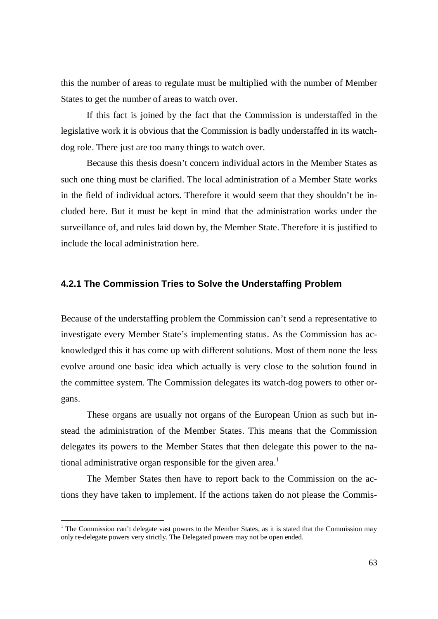this the number of areas to regulate must be multiplied with the number of Member States to get the number of areas to watch over.

If this fact is joined by the fact that the Commission is understaffed in the legislative work it is obvious that the Commission is badly understaffed in its watchdog role. There just are too many things to watch over.

Because this thesis doesn't concern individual actors in the Member States as such one thing must be clarified. The local administration of a Member State works in the field of individual actors. Therefore it would seem that they shouldn't be included here. But it must be kept in mind that the administration works under the surveillance of, and rules laid down by, the Member State. Therefore it is justified to include the local administration here.

#### **4.2.1 The Commission Tries to Solve the Understaffing Problem**

Because of the understaffing problem the Commission can't send a representative to investigate every Member State's implementing status. As the Commission has acknowledged this it has come up with different solutions. Most of them none the less evolve around one basic idea which actually is very close to the solution found in the committee system. The Commission delegates its watch-dog powers to other organs.

These organs are usually not organs of the European Union as such but instead the administration of the Member States. This means that the Commission delegates its powers to the Member States that then delegate this power to the national administrative organ responsible for the given area.<sup>1</sup>

The Member States then have to report back to the Commission on the actions they have taken to implement. If the actions taken do not please the Commis-

<sup>&</sup>lt;sup>1</sup> The Commission can't delegate vast powers to the Member States, as it is stated that the Commission may only re-delegate powers very strictly. The Delegated powers may not be open ended.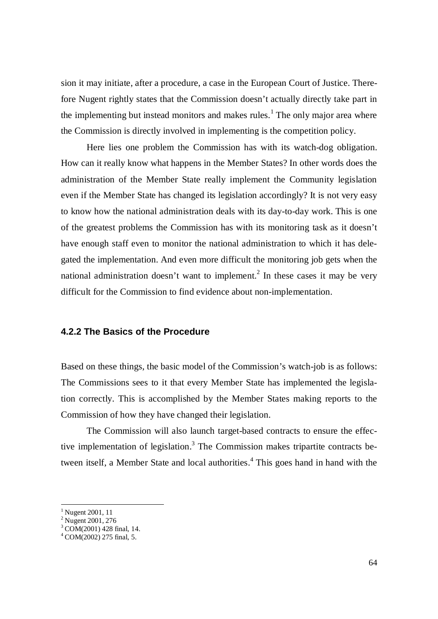sion it may initiate, after a procedure, a case in the European Court of Justice. Therefore Nugent rightly states that the Commission doesn't actually directly take part in the implementing but instead monitors and makes rules.<sup>1</sup> The only major area where the Commission is directly involved in implementing is the competition policy.

Here lies one problem the Commission has with its watch-dog obligation. How can it really know what happens in the Member States? In other words does the administration of the Member State really implement the Community legislation even if the Member State has changed its legislation accordingly? It is not very easy to know how the national administration deals with its day-to-day work. This is one of the greatest problems the Commission has with its monitoring task as it doesn't have enough staff even to monitor the national administration to which it has delegated the implementation. And even more difficult the monitoring job gets when the national administration doesn't want to implement.<sup>2</sup> In these cases it may be very difficult for the Commission to find evidence about non-implementation.

#### **4.2.2 The Basics of the Procedure**

Based on these things, the basic model of the Commission's watch-job is as follows: The Commissions sees to it that every Member State has implemented the legislation correctly. This is accomplished by the Member States making reports to the Commission of how they have changed their legislation.

The Commission will also launch target-based contracts to ensure the effective implementation of legislation.<sup>3</sup> The Commission makes tripartite contracts between itself, a Member State and local authorities.<sup>4</sup> This goes hand in hand with the

<sup>&</sup>lt;sup>1</sup> Nugent 2001, 11

<sup>&</sup>lt;sup>2</sup> Nugent 2001, 276

<sup>3</sup> COM(2001) 428 final, 14.

<sup>4</sup> COM(2002) 275 final, 5.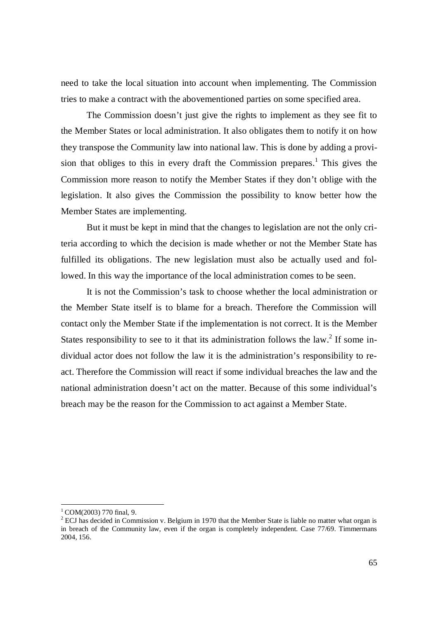need to take the local situation into account when implementing. The Commission tries to make a contract with the abovementioned parties on some specified area.

The Commission doesn't just give the rights to implement as they see fit to the Member States or local administration. It also obligates them to notify it on how they transpose the Community law into national law. This is done by adding a provision that obliges to this in every draft the Commission prepares.<sup>1</sup> This gives the Commission more reason to notify the Member States if they don't oblige with the legislation. It also gives the Commission the possibility to know better how the Member States are implementing.

But it must be kept in mind that the changes to legislation are not the only criteria according to which the decision is made whether or not the Member State has fulfilled its obligations. The new legislation must also be actually used and followed. In this way the importance of the local administration comes to be seen.

It is not the Commission's task to choose whether the local administration or the Member State itself is to blame for a breach. Therefore the Commission will contact only the Member State if the implementation is not correct. It is the Member States responsibility to see to it that its administration follows the law.<sup>2</sup> If some individual actor does not follow the law it is the administration's responsibility to react. Therefore the Commission will react if some individual breaches the law and the national administration doesn't act on the matter. Because of this some individual's breach may be the reason for the Commission to act against a Member State.

 $1$  COM(2003) 770 final, 9.

 $2^{2}$  ECJ has decided in Commission v. Belgium in 1970 that the Member State is liable no matter what organ is in breach of the Community law, even if the organ is completely independent. Case 77/69. Timmermans 2004, 156.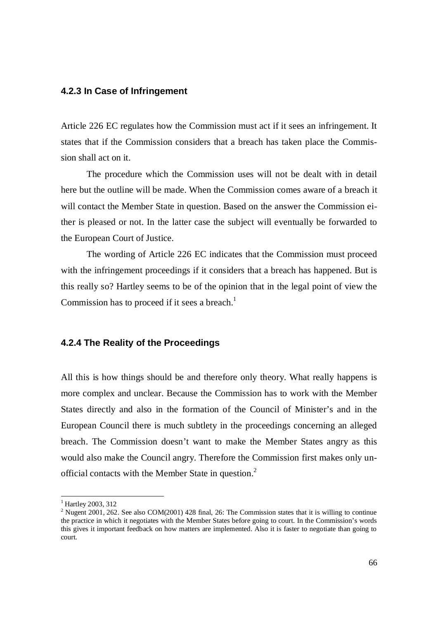#### **4.2.3 In Case of Infringement**

Article 226 EC regulates how the Commission must act if it sees an infringement. It states that if the Commission considers that a breach has taken place the Commission shall act on it.

The procedure which the Commission uses will not be dealt with in detail here but the outline will be made. When the Commission comes aware of a breach it will contact the Member State in question. Based on the answer the Commission either is pleased or not. In the latter case the subject will eventually be forwarded to the European Court of Justice.

The wording of Article 226 EC indicates that the Commission must proceed with the infringement proceedings if it considers that a breach has happened. But is this really so? Hartley seems to be of the opinion that in the legal point of view the Commission has to proceed if it sees a breach.<sup>1</sup>

### **4.2.4 The Reality of the Proceedings**

All this is how things should be and therefore only theory. What really happens is more complex and unclear. Because the Commission has to work with the Member States directly and also in the formation of the Council of Minister's and in the European Council there is much subtlety in the proceedings concerning an alleged breach. The Commission doesn't want to make the Member States angry as this would also make the Council angry. Therefore the Commission first makes only unofficial contacts with the Member State in question.<sup>2</sup>

<sup>&</sup>lt;sup>1</sup> Hartley 2003, 312

<sup>&</sup>lt;sup>2</sup> Nugent 2001, 262. See also COM(2001) 428 final, 26: The Commission states that it is willing to continue the practice in which it negotiates with the Member States before going to court. In the Commission's words this gives it important feedback on how matters are implemented. Also it is faster to negotiate than going to court.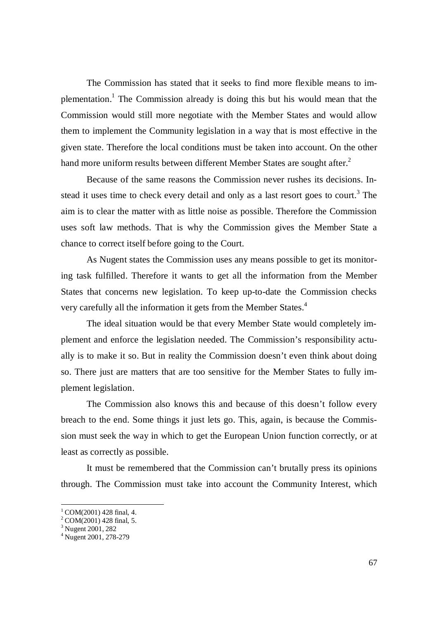The Commission has stated that it seeks to find more flexible means to implementation.<sup>1</sup> The Commission already is doing this but his would mean that the Commission would still more negotiate with the Member States and would allow them to implement the Community legislation in a way that is most effective in the given state. Therefore the local conditions must be taken into account. On the other hand more uniform results between different Member States are sought after.<sup>2</sup>

Because of the same reasons the Commission never rushes its decisions. Instead it uses time to check every detail and only as a last resort goes to court.<sup>3</sup> The aim is to clear the matter with as little noise as possible. Therefore the Commission uses soft law methods. That is why the Commission gives the Member State a chance to correct itself before going to the Court.

As Nugent states the Commission uses any means possible to get its monitoring task fulfilled. Therefore it wants to get all the information from the Member States that concerns new legislation. To keep up-to-date the Commission checks very carefully all the information it gets from the Member States.<sup>4</sup>

The ideal situation would be that every Member State would completely implement and enforce the legislation needed. The Commission's responsibility actually is to make it so. But in reality the Commission doesn't even think about doing so. There just are matters that are too sensitive for the Member States to fully implement legislation.

The Commission also knows this and because of this doesn't follow every breach to the end. Some things it just lets go. This, again, is because the Commission must seek the way in which to get the European Union function correctly, or at least as correctly as possible.

It must be remembered that the Commission can't brutally press its opinions through. The Commission must take into account the Community Interest, which

 $1$  COM(2001) 428 final, 4.

 $^{2}$  COM(2001) 428 final, 5.

<sup>&</sup>lt;sup>3</sup> Nugent 2001, 282

<sup>4</sup> Nugent 2001, 278-279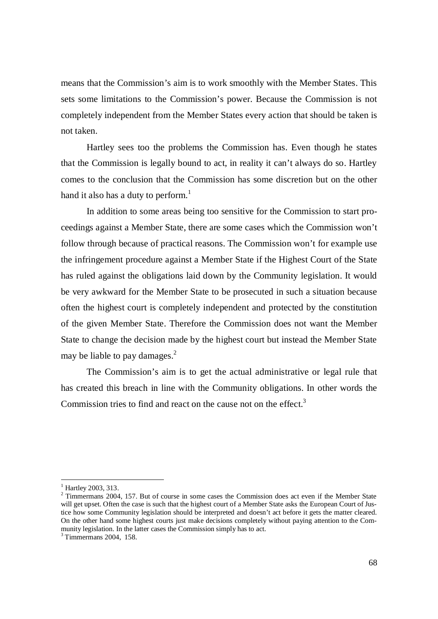means that the Commission's aim is to work smoothly with the Member States. This sets some limitations to the Commission's power. Because the Commission is not completely independent from the Member States every action that should be taken is not taken.

Hartley sees too the problems the Commission has. Even though he states that the Commission is legally bound to act, in reality it can't always do so. Hartley comes to the conclusion that the Commission has some discretion but on the other hand it also has a duty to perform.<sup>1</sup>

In addition to some areas being too sensitive for the Commission to start proceedings against a Member State, there are some cases which the Commission won't follow through because of practical reasons. The Commission won't for example use the infringement procedure against a Member State if the Highest Court of the State has ruled against the obligations laid down by the Community legislation. It would be very awkward for the Member State to be prosecuted in such a situation because often the highest court is completely independent and protected by the constitution of the given Member State. Therefore the Commission does not want the Member State to change the decision made by the highest court but instead the Member State may be liable to pay damages. $<sup>2</sup>$ </sup>

The Commission's aim is to get the actual administrative or legal rule that has created this breach in line with the Community obligations. In other words the Commission tries to find and react on the cause not on the effect.<sup>3</sup>

 $1$  Hartley 2003, 313.

 $2$  Timmermans 2004, 157. But of course in some cases the Commission does act even if the Member State will get upset. Often the case is such that the highest court of a Member State asks the European Court of Justice how some Community legislation should be interpreted and doesn't act before it gets the matter cleared. On the other hand some highest courts just make decisions completely without paying attention to the Community legislation. In the latter cases the Commission simply has to act.

<sup>&</sup>lt;sup>3</sup> Timmermans 2004, 158.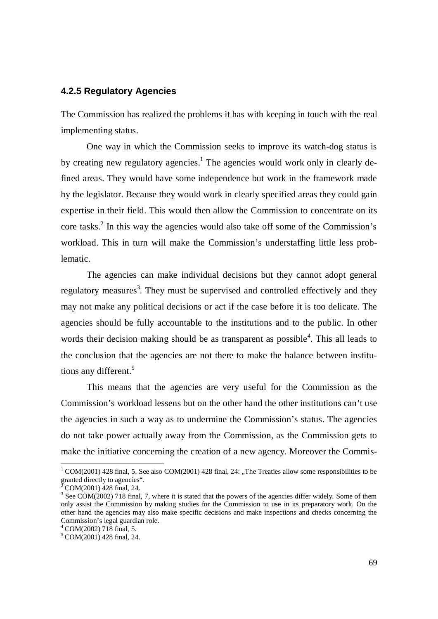### **4.2.5 Regulatory Agencies**

The Commission has realized the problems it has with keeping in touch with the real implementing status.

One way in which the Commission seeks to improve its watch-dog status is by creating new regulatory agencies.<sup>1</sup> The agencies would work only in clearly defined areas. They would have some independence but work in the framework made by the legislator. Because they would work in clearly specified areas they could gain expertise in their field. This would then allow the Commission to concentrate on its core tasks.<sup>2</sup> In this way the agencies would also take off some of the Commission's workload. This in turn will make the Commission's understaffing little less problematic.

The agencies can make individual decisions but they cannot adopt general regulatory measures<sup>3</sup>. They must be supervised and controlled effectively and they may not make any political decisions or act if the case before it is too delicate. The agencies should be fully accountable to the institutions and to the public. In other words their decision making should be as transparent as possible<sup>4</sup>. This all leads to the conclusion that the agencies are not there to make the balance between institutions any different.<sup>5</sup>

This means that the agencies are very useful for the Commission as the Commission's workload lessens but on the other hand the other institutions can't use the agencies in such a way as to undermine the Commission's status. The agencies do not take power actually away from the Commission, as the Commission gets to make the initiative concerning the creation of a new agency. Moreover the Commis-

 $1 \text{ COM}(2001)$  428 final, 5. See also COM(2001) 428 final, 24: "The Treaties allow some responsibilities to be granted directly to agencies".

 $\bar{2}$ COM(2001) 428 final, 24.

 $3$  See COM(2002) 718 final, 7, where it is stated that the powers of the agencies differ widely. Some of them only assist the Commission by making studies for the Commission to use in its preparatory work. On the other hand the agencies may also make specific decisions and make inspections and checks concerning the Commission's legal guardian role.

<sup>4</sup> COM(2002) 718 final, 5.

<sup>5</sup> COM(2001) 428 final, 24.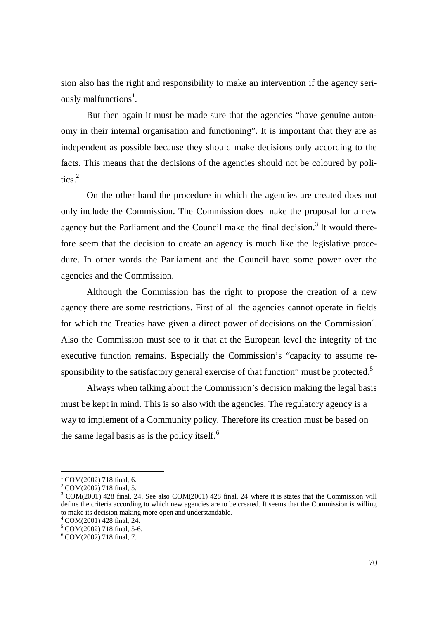sion also has the right and responsibility to make an intervention if the agency seriously malfunctions<sup>1</sup>.

But then again it must be made sure that the agencies "have genuine autonomy in their internal organisation and functioning". It is important that they are as independent as possible because they should make decisions only according to the facts. This means that the decisions of the agencies should not be coloured by politics.<sup>2</sup>

On the other hand the procedure in which the agencies are created does not only include the Commission. The Commission does make the proposal for a new agency but the Parliament and the Council make the final decision.<sup>3</sup> It would therefore seem that the decision to create an agency is much like the legislative procedure. In other words the Parliament and the Council have some power over the agencies and the Commission.

Although the Commission has the right to propose the creation of a new agency there are some restrictions. First of all the agencies cannot operate in fields for which the Treaties have given a direct power of decisions on the Commission<sup>4</sup>. Also the Commission must see to it that at the European level the integrity of the executive function remains. Especially the Commission's "capacity to assume responsibility to the satisfactory general exercise of that function" must be protected. $5$ 

Always when talking about the Commission's decision making the legal basis must be kept in mind. This is so also with the agencies. The regulatory agency is a way to implement of a Community policy. Therefore its creation must be based on the same legal basis as is the policy itself. $<sup>6</sup>$ </sup>

 $^{1}$  COM(2002) 718 final, 6.

 $^{2}$  COM(2002) 718 final, 5.

 $3$  COM(2001) 428 final, 24. See also COM(2001) 428 final, 24 where it is states that the Commission will define the criteria according to which new agencies are to be created. It seems that the Commission is willing to make its decision making more open and understandable.

<sup>4</sup> COM(2001) 428 final, 24.

<sup>5</sup> COM(2002) 718 final, 5-6.

<sup>6</sup> COM(2002) 718 final, 7.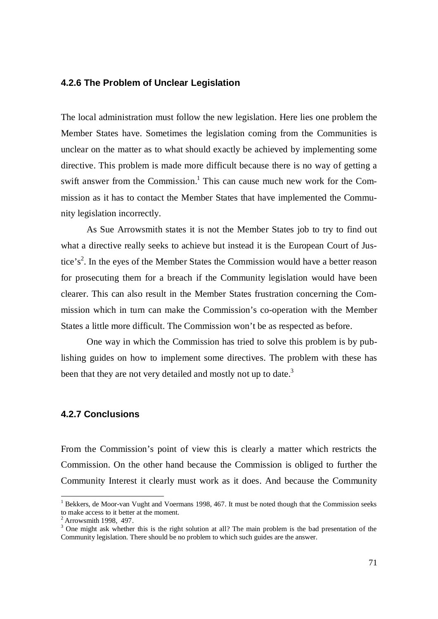### **4.2.6 The Problem of Unclear Legislation**

The local administration must follow the new legislation. Here lies one problem the Member States have. Sometimes the legislation coming from the Communities is unclear on the matter as to what should exactly be achieved by implementing some directive. This problem is made more difficult because there is no way of getting a swift answer from the Commission.<sup>1</sup> This can cause much new work for the Commission as it has to contact the Member States that have implemented the Community legislation incorrectly.

As Sue Arrowsmith states it is not the Member States job to try to find out what a directive really seeks to achieve but instead it is the European Court of Justice's<sup>2</sup>. In the eyes of the Member States the Commission would have a better reason for prosecuting them for a breach if the Community legislation would have been clearer. This can also result in the Member States frustration concerning the Commission which in turn can make the Commission's co-operation with the Member States a little more difficult. The Commission won't be as respected as before.

One way in which the Commission has tried to solve this problem is by publishing guides on how to implement some directives. The problem with these has been that they are not very detailed and mostly not up to date.<sup>3</sup>

## **4.2.7 Conclusions**

From the Commission's point of view this is clearly a matter which restricts the Commission. On the other hand because the Commission is obliged to further the Community Interest it clearly must work as it does. And because the Community

<sup>&</sup>lt;sup>1</sup> Bekkers, de Moor-van Vught and Voermans 1998, 467. It must be noted though that the Commission seeks to make access to it better at the moment.

 $2$  Arrowsmith 1998, 497.

<sup>&</sup>lt;sup>3</sup> One might ask whether this is the right solution at all? The main problem is the bad presentation of the Community legislation. There should be no problem to which such guides are the answer.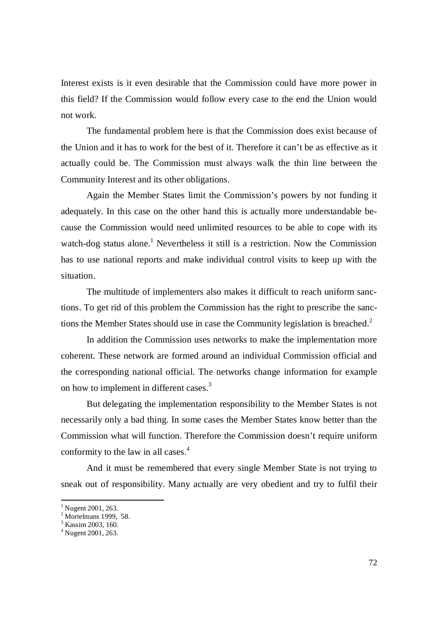Interest exists is it even desirable that the Commission could have more power in this field? If the Commission would follow every case to the end the Union would not work.

The fundamental problem here is that the Commission does exist because of the Union and it has to work for the best of it. Therefore it can't be as effective as it actually could be. The Commission must always walk the thin line between the Community Interest and its other obligations.

Again the Member States limit the Commission's powers by not funding it adequately. In this case on the other hand this is actually more understandable because the Commission would need unlimited resources to be able to cope with its watch-dog status alone.<sup>1</sup> Nevertheless it still is a restriction. Now the Commission has to use national reports and make individual control visits to keep up with the situation.

The multitude of implementers also makes it difficult to reach uniform sanctions. To get rid of this problem the Commission has the right to prescribe the sanctions the Member States should use in case the Community legislation is breached.<sup>2</sup>

In addition the Commission uses networks to make the implementation more coherent. These network are formed around an individual Commission official and the corresponding national official. The networks change information for example on how to implement in different cases.<sup>3</sup>

But delegating the implementation responsibility to the Member States is not necessarily only a bad thing. In some cases the Member States know better than the Commission what will function. Therefore the Commission doesn't require uniform conformity to the law in all cases.<sup>4</sup>

And it must be remembered that every single Member State is not trying to sneak out of responsibility. Many actually are very obedient and try to fulfil their

 $1$  Nugent 2001, 263.

 $<sup>2</sup>$  Mortelmans 1999, 58.</sup>

<sup>&</sup>lt;sup>3</sup> Kassim 2003, 160.

<sup>4</sup> Nugent 2001, 263.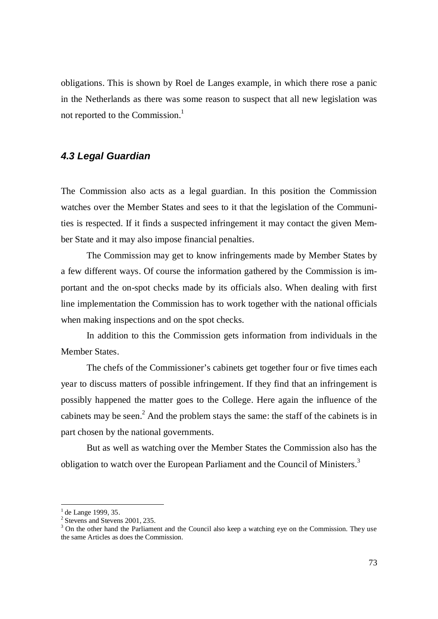obligations. This is shown by Roel de Langes example, in which there rose a panic in the Netherlands as there was some reason to suspect that all new legislation was not reported to the Commission.<sup>1</sup>

# *4.3 Legal Guardian*

The Commission also acts as a legal guardian. In this position the Commission watches over the Member States and sees to it that the legislation of the Communities is respected. If it finds a suspected infringement it may contact the given Member State and it may also impose financial penalties.

The Commission may get to know infringements made by Member States by a few different ways. Of course the information gathered by the Commission is important and the on-spot checks made by its officials also. When dealing with first line implementation the Commission has to work together with the national officials when making inspections and on the spot checks.

In addition to this the Commission gets information from individuals in the Member States.

The chefs of the Commissioner's cabinets get together four or five times each year to discuss matters of possible infringement. If they find that an infringement is possibly happened the matter goes to the College. Here again the influence of the cabinets may be seen.<sup>2</sup> And the problem stays the same: the staff of the cabinets is in part chosen by the national governments.

But as well as watching over the Member States the Commission also has the obligation to watch over the European Parliament and the Council of Ministers.<sup>3</sup>

<sup>&</sup>lt;sup>1</sup> de Lange 1999, 35.

<sup>&</sup>lt;sup>2</sup> Stevens and Stevens 2001, 235.

<sup>&</sup>lt;sup>3</sup> On the other hand the Parliament and the Council also keep a watching eye on the Commission. They use the same Articles as does the Commission.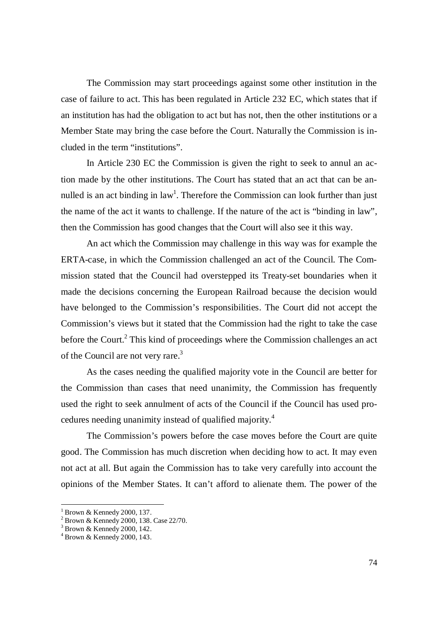The Commission may start proceedings against some other institution in the case of failure to act. This has been regulated in Article 232 EC, which states that if an institution has had the obligation to act but has not, then the other institutions or a Member State may bring the case before the Court. Naturally the Commission is included in the term "institutions".

In Article 230 EC the Commission is given the right to seek to annul an action made by the other institutions. The Court has stated that an act that can be annulled is an act binding in law<sup>1</sup>. Therefore the Commission can look further than just the name of the act it wants to challenge. If the nature of the act is "binding in law", then the Commission has good changes that the Court will also see it this way.

An act which the Commission may challenge in this way was for example the ERTA-case, in which the Commission challenged an act of the Council. The Commission stated that the Council had overstepped its Treaty-set boundaries when it made the decisions concerning the European Railroad because the decision would have belonged to the Commission's responsibilities. The Court did not accept the Commission's views but it stated that the Commission had the right to take the case before the Court.<sup>2</sup> This kind of proceedings where the Commission challenges an act of the Council are not very rare.<sup>3</sup>

As the cases needing the qualified majority vote in the Council are better for the Commission than cases that need unanimity, the Commission has frequently used the right to seek annulment of acts of the Council if the Council has used procedures needing unanimity instead of qualified majority.<sup>4</sup>

The Commission's powers before the case moves before the Court are quite good. The Commission has much discretion when deciding how to act. It may even not act at all. But again the Commission has to take very carefully into account the opinions of the Member States. It can't afford to alienate them. The power of the

<sup>&</sup>lt;sup>1</sup> Brown & Kennedy 2000, 137.

<sup>2</sup> Brown & Kennedy 2000, 138. Case 22/70.

<sup>3</sup> Brown & Kennedy 2000, 142.

<sup>4</sup> Brown & Kennedy 2000, 143.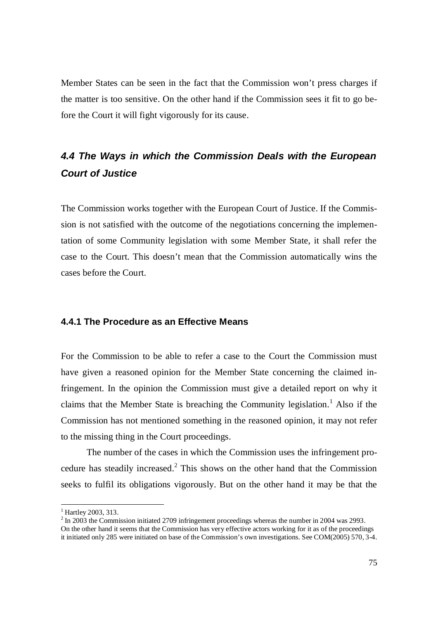Member States can be seen in the fact that the Commission won't press charges if the matter is too sensitive. On the other hand if the Commission sees it fit to go before the Court it will fight vigorously for its cause.

# *4.4 The Ways in which the Commission Deals with the European Court of Justice*

The Commission works together with the European Court of Justice. If the Commission is not satisfied with the outcome of the negotiations concerning the implementation of some Community legislation with some Member State, it shall refer the case to the Court. This doesn't mean that the Commission automatically wins the cases before the Court.

### **4.4.1 The Procedure as an Effective Means**

For the Commission to be able to refer a case to the Court the Commission must have given a reasoned opinion for the Member State concerning the claimed infringement. In the opinion the Commission must give a detailed report on why it claims that the Member State is breaching the Community legislation.<sup>1</sup> Also if the Commission has not mentioned something in the reasoned opinion, it may not refer to the missing thing in the Court proceedings.

The number of the cases in which the Commission uses the infringement procedure has steadily increased. $2$  This shows on the other hand that the Commission seeks to fulfil its obligations vigorously. But on the other hand it may be that the

<sup>&</sup>lt;sup>1</sup> Hartley 2003, 313.

 $2 \text{ In } 2003$  the Commission initiated 2709 infringement proceedings whereas the number in 2004 was 2993. On the other hand it seems that the Commission has very effective actors working for it as of the proceedings it initiated only 285 were initiated on base of the Commission's own investigations. See COM(2005) 570, 3-4.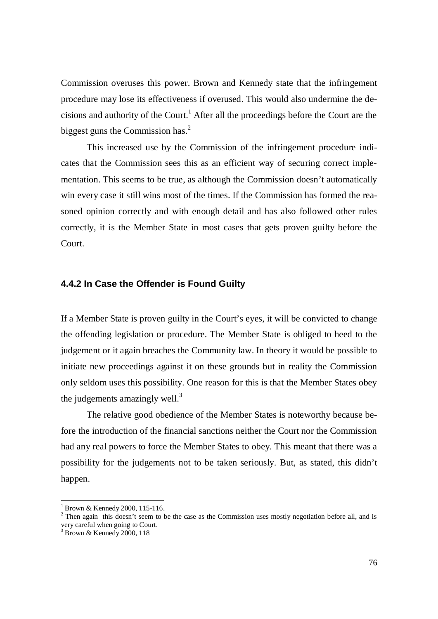Commission overuses this power. Brown and Kennedy state that the infringement procedure may lose its effectiveness if overused. This would also undermine the decisions and authority of the Court.<sup>1</sup> After all the proceedings before the Court are the biggest guns the Commission has. $<sup>2</sup>$ </sup>

This increased use by the Commission of the infringement procedure indicates that the Commission sees this as an efficient way of securing correct implementation. This seems to be true, as although the Commission doesn't automatically win every case it still wins most of the times. If the Commission has formed the reasoned opinion correctly and with enough detail and has also followed other rules correctly, it is the Member State in most cases that gets proven guilty before the Court.

### **4.4.2 In Case the Offender is Found Guilty**

If a Member State is proven guilty in the Court's eyes, it will be convicted to change the offending legislation or procedure. The Member State is obliged to heed to the judgement or it again breaches the Community law. In theory it would be possible to initiate new proceedings against it on these grounds but in reality the Commission only seldom uses this possibility. One reason for this is that the Member States obey the judgements amazingly well. $3$ 

The relative good obedience of the Member States is noteworthy because before the introduction of the financial sanctions neither the Court nor the Commission had any real powers to force the Member States to obey. This meant that there was a possibility for the judgements not to be taken seriously. But, as stated, this didn't happen.

<sup>&</sup>lt;sup>1</sup> Brown & Kennedy 2000, 115-116.

<sup>&</sup>lt;sup>2</sup> Then again this doesn't seem to be the case as the Commission uses mostly negotiation before all, and is very careful when going to Court.<br> $3 \text{ Prown } \ell$ : Kannady 2000, 119

Brown & Kennedy 2000, 118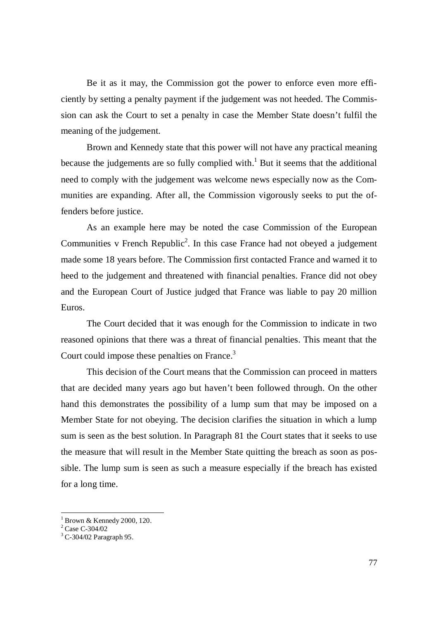Be it as it may, the Commission got the power to enforce even more efficiently by setting a penalty payment if the judgement was not heeded. The Commission can ask the Court to set a penalty in case the Member State doesn't fulfil the meaning of the judgement.

Brown and Kennedy state that this power will not have any practical meaning because the judgements are so fully complied with.<sup>1</sup> But it seems that the additional need to comply with the judgement was welcome news especially now as the Communities are expanding. After all, the Commission vigorously seeks to put the offenders before justice.

As an example here may be noted the case Commission of the European Communities v French Republic<sup>2</sup>. In this case France had not obeyed a judgement made some 18 years before. The Commission first contacted France and warned it to heed to the judgement and threatened with financial penalties. France did not obey and the European Court of Justice judged that France was liable to pay 20 million Euros.

The Court decided that it was enough for the Commission to indicate in two reasoned opinions that there was a threat of financial penalties. This meant that the Court could impose these penalties on France.<sup>3</sup>

This decision of the Court means that the Commission can proceed in matters that are decided many years ago but haven't been followed through. On the other hand this demonstrates the possibility of a lump sum that may be imposed on a Member State for not obeying. The decision clarifies the situation in which a lump sum is seen as the best solution. In Paragraph 81 the Court states that it seeks to use the measure that will result in the Member State quitting the breach as soon as possible. The lump sum is seen as such a measure especially if the breach has existed for a long time.

<sup>&</sup>lt;sup>1</sup> Brown & Kennedy 2000, 120.<br><sup>2</sup> Case C-304/02

<sup>&</sup>lt;sup>3</sup> C-304/02 Paragraph 95.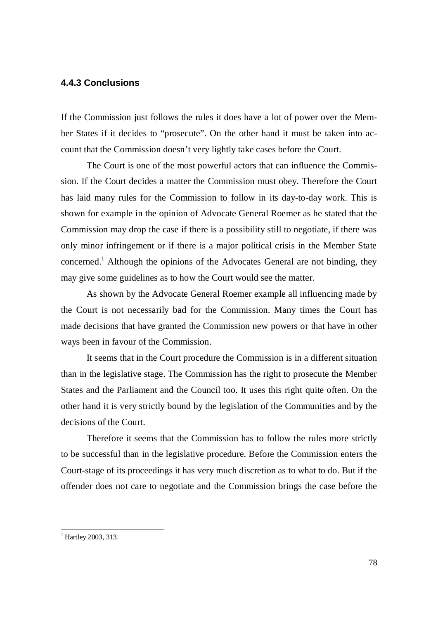### **4.4.3 Conclusions**

If the Commission just follows the rules it does have a lot of power over the Member States if it decides to "prosecute". On the other hand it must be taken into account that the Commission doesn't very lightly take cases before the Court.

The Court is one of the most powerful actors that can influence the Commission. If the Court decides a matter the Commission must obey. Therefore the Court has laid many rules for the Commission to follow in its day-to-day work. This is shown for example in the opinion of Advocate General Roemer as he stated that the Commission may drop the case if there is a possibility still to negotiate, if there was only minor infringement or if there is a major political crisis in the Member State concerned.<sup>1</sup> Although the opinions of the Advocates General are not binding, they may give some guidelines as to how the Court would see the matter.

As shown by the Advocate General Roemer example all influencing made by the Court is not necessarily bad for the Commission. Many times the Court has made decisions that have granted the Commission new powers or that have in other ways been in favour of the Commission.

It seems that in the Court procedure the Commission is in a different situation than in the legislative stage. The Commission has the right to prosecute the Member States and the Parliament and the Council too. It uses this right quite often. On the other hand it is very strictly bound by the legislation of the Communities and by the decisions of the Court.

Therefore it seems that the Commission has to follow the rules more strictly to be successful than in the legislative procedure. Before the Commission enters the Court-stage of its proceedings it has very much discretion as to what to do. But if the offender does not care to negotiate and the Commission brings the case before the

<sup>&</sup>lt;sup>1</sup> Hartley 2003, 313.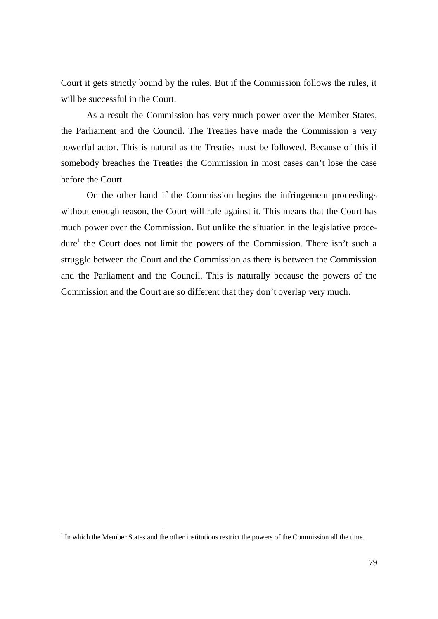Court it gets strictly bound by the rules. But if the Commission follows the rules, it will be successful in the Court.

As a result the Commission has very much power over the Member States, the Parliament and the Council. The Treaties have made the Commission a very powerful actor. This is natural as the Treaties must be followed. Because of this if somebody breaches the Treaties the Commission in most cases can't lose the case before the Court.

On the other hand if the Commission begins the infringement proceedings without enough reason, the Court will rule against it. This means that the Court has much power over the Commission. But unlike the situation in the legislative procedure<sup>1</sup> the Court does not limit the powers of the Commission. There isn't such a struggle between the Court and the Commission as there is between the Commission and the Parliament and the Council. This is naturally because the powers of the Commission and the Court are so different that they don't overlap very much.

 $<sup>1</sup>$  In which the Member States and the other institutions restrict the powers of the Commission all the time.</sup>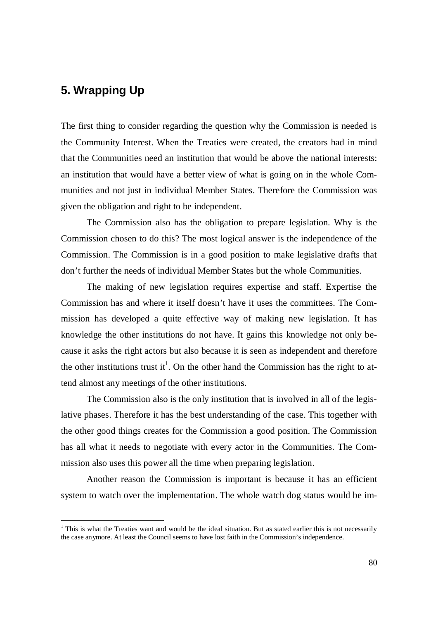# **5. Wrapping Up**

The first thing to consider regarding the question why the Commission is needed is the Community Interest. When the Treaties were created, the creators had in mind that the Communities need an institution that would be above the national interests: an institution that would have a better view of what is going on in the whole Communities and not just in individual Member States. Therefore the Commission was given the obligation and right to be independent.

The Commission also has the obligation to prepare legislation. Why is the Commission chosen to do this? The most logical answer is the independence of the Commission. The Commission is in a good position to make legislative drafts that don't further the needs of individual Member States but the whole Communities.

The making of new legislation requires expertise and staff. Expertise the Commission has and where it itself doesn't have it uses the committees. The Commission has developed a quite effective way of making new legislation. It has knowledge the other institutions do not have. It gains this knowledge not only because it asks the right actors but also because it is seen as independent and therefore the other institutions trust it<sup>1</sup>. On the other hand the Commission has the right to attend almost any meetings of the other institutions.

The Commission also is the only institution that is involved in all of the legislative phases. Therefore it has the best understanding of the case. This together with the other good things creates for the Commission a good position. The Commission has all what it needs to negotiate with every actor in the Communities. The Commission also uses this power all the time when preparing legislation.

Another reason the Commission is important is because it has an efficient system to watch over the implementation. The whole watch dog status would be im-

 $1$  This is what the Treaties want and would be the ideal situation. But as stated earlier this is not necessarily the case anymore. At least the Council seems to have lost faith in the Commission's independence.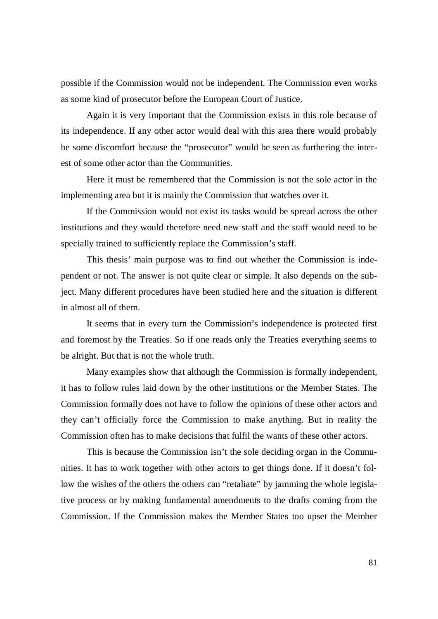possible if the Commission would not be independent. The Commission even works as some kind of prosecutor before the European Court of Justice.

Again it is very important that the Commission exists in this role because of its independence. If any other actor would deal with this area there would probably be some discomfort because the "prosecutor" would be seen as furthering the interest of some other actor than the Communities.

Here it must be remembered that the Commission is not the sole actor in the implementing area but it is mainly the Commission that watches over it.

If the Commission would not exist its tasks would be spread across the other institutions and they would therefore need new staff and the staff would need to be specially trained to sufficiently replace the Commission's staff.

This thesis' main purpose was to find out whether the Commission is independent or not. The answer is not quite clear or simple. It also depends on the subject. Many different procedures have been studied here and the situation is different in almost all of them.

It seems that in every turn the Commission's independence is protected first and foremost by the Treaties. So if one reads only the Treaties everything seems to be alright. But that is not the whole truth.

Many examples show that although the Commission is formally independent, it has to follow rules laid down by the other institutions or the Member States. The Commission formally does not have to follow the opinions of these other actors and they can't officially force the Commission to make anything. But in reality the Commission often has to make decisions that fulfil the wants of these other actors.

This is because the Commission isn't the sole deciding organ in the Communities. It has to work together with other actors to get things done. If it doesn't follow the wishes of the others the others can "retaliate" by jamming the whole legislative process or by making fundamental amendments to the drafts coming from the Commission. If the Commission makes the Member States too upset the Member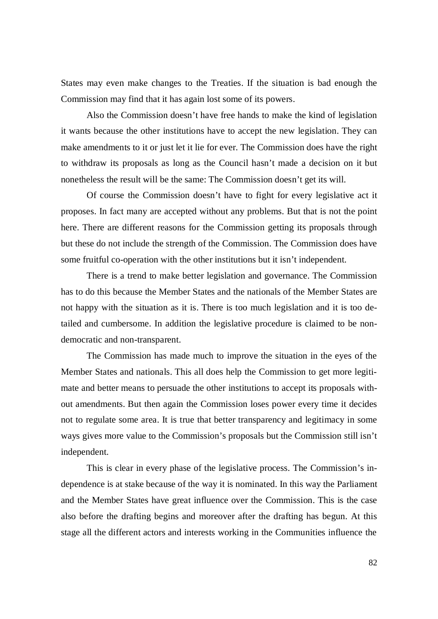States may even make changes to the Treaties. If the situation is bad enough the Commission may find that it has again lost some of its powers.

Also the Commission doesn't have free hands to make the kind of legislation it wants because the other institutions have to accept the new legislation. They can make amendments to it or just let it lie for ever. The Commission does have the right to withdraw its proposals as long as the Council hasn't made a decision on it but nonetheless the result will be the same: The Commission doesn't get its will.

Of course the Commission doesn't have to fight for every legislative act it proposes. In fact many are accepted without any problems. But that is not the point here. There are different reasons for the Commission getting its proposals through but these do not include the strength of the Commission. The Commission does have some fruitful co-operation with the other institutions but it isn't independent.

There is a trend to make better legislation and governance. The Commission has to do this because the Member States and the nationals of the Member States are not happy with the situation as it is. There is too much legislation and it is too detailed and cumbersome. In addition the legislative procedure is claimed to be nondemocratic and non-transparent.

The Commission has made much to improve the situation in the eyes of the Member States and nationals. This all does help the Commission to get more legitimate and better means to persuade the other institutions to accept its proposals without amendments. But then again the Commission loses power every time it decides not to regulate some area. It is true that better transparency and legitimacy in some ways gives more value to the Commission's proposals but the Commission still isn't independent.

This is clear in every phase of the legislative process. The Commission's independence is at stake because of the way it is nominated. In this way the Parliament and the Member States have great influence over the Commission. This is the case also before the drafting begins and moreover after the drafting has begun. At this stage all the different actors and interests working in the Communities influence the